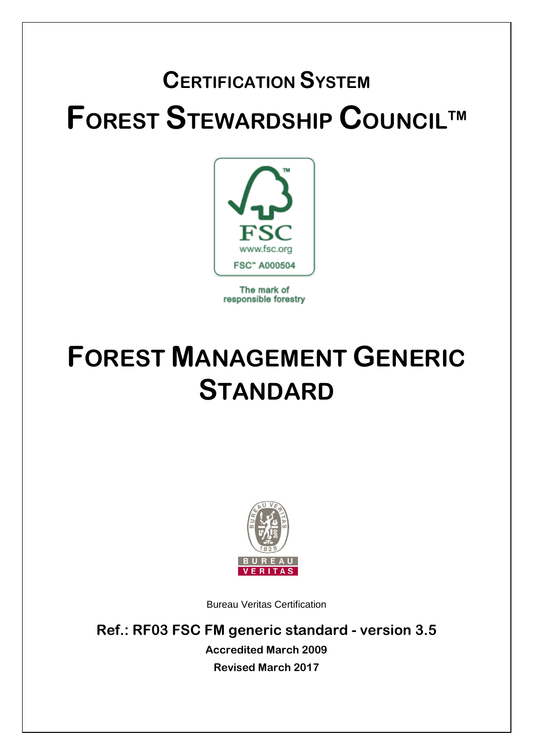# **CERTIFICATION SYSTEM FOREST STEWARDSHIP COUNCILTM**



The mark of responsible forestry

# <span id="page-0-0"></span>**FOREST MANAGEMENT GENERIC STANDARD**



Bureau Veritas Certification

**Ref.: RF03 FSC FM generic standard - version 3.5 Accredited March 2009 Revised March 2017**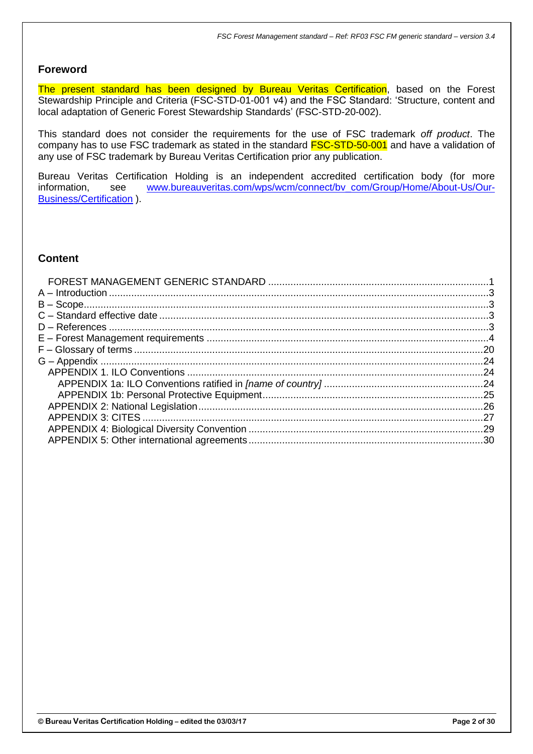#### **Foreword**

The present standard has been designed by Bureau Veritas Certification, based on the Forest Stewardship Principle and Criteria (FSC-STD-01-001 v4) and the FSC Standard: 'Structure, content and local adaptation of Generic Forest Stewardship Standards' (FSC-STD-20-002).

This standard does not consider the requirements for the use of FSC trademark *off product*. The company has to use FSC trademark as stated in the standard FSC-STD-50-001 and have a validation of any use of FSC trademark by Bureau Veritas Certification prior any publication.

Bureau Veritas Certification Holding is an independent accredited certification body (for more information, see [www.bureauveritas.com/wps/wcm/connect/bv\\_com/Group/Home/About-Us/Our-](http://www.bureauveritas.com/wps/wcm/connect/bv_com/Group/Home/About-Us/Our-Business/Certification)[Business/Certification](http://www.bureauveritas.com/wps/wcm/connect/bv_com/Group/Home/About-Us/Our-Business/Certification) ).

#### **Content**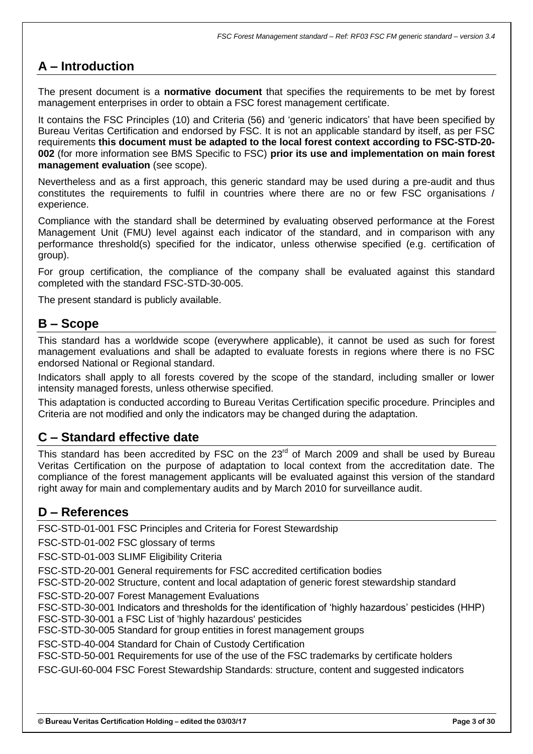## <span id="page-2-0"></span>**A – Introduction**

The present document is a **normative document** that specifies the requirements to be met by forest management enterprises in order to obtain a FSC forest management certificate.

It contains the FSC Principles (10) and Criteria (56) and 'generic indicators' that have been specified by Bureau Veritas Certification and endorsed by FSC. It is not an applicable standard by itself, as per FSC requirements **this document must be adapted to the local forest context according to FSC-STD-20- 002** (for more information see BMS Specific to FSC) **prior its use and implementation on main forest management evaluation** (see scope).

Nevertheless and as a first approach, this generic standard may be used during a pre-audit and thus constitutes the requirements to fulfil in countries where there are no or few FSC organisations / experience.

Compliance with the standard shall be determined by evaluating observed performance at the Forest Management Unit (FMU) level against each indicator of the standard, and in comparison with any performance threshold(s) specified for the indicator, unless otherwise specified (e.g. certification of group).

For group certification, the compliance of the company shall be evaluated against this standard completed with the standard FSC-STD-30-005.

The present standard is publicly available.

## <span id="page-2-1"></span>**B – Scope**

This standard has a worldwide scope (everywhere applicable), it cannot be used as such for forest management evaluations and shall be adapted to evaluate forests in regions where there is no FSC endorsed National or Regional standard.

Indicators shall apply to all forests covered by the scope of the standard, including smaller or lower intensity managed forests, unless otherwise specified.

This adaptation is conducted according to Bureau Veritas Certification specific procedure. Principles and Criteria are not modified and only the indicators may be changed during the adaptation.

### <span id="page-2-2"></span>**C – Standard effective date**

This standard has been accredited by FSC on the  $23<sup>rd</sup>$  of March 2009 and shall be used by Bureau Veritas Certification on the purpose of adaptation to local context from the accreditation date. The compliance of the forest management applicants will be evaluated against this version of the standard right away for main and complementary audits and by March 2010 for surveillance audit.

## <span id="page-2-3"></span>**D – References**

FSC-STD-01-001 FSC Principles and Criteria for Forest Stewardship

FSC-STD-01-002 FSC glossary of terms

FSC-STD-01-003 SLIMF Eligibility Criteria

FSC-STD-20-001 General requirements for FSC accredited certification bodies

FSC-STD-20-002 Structure, content and local adaptation of generic forest stewardship standard

FSC-STD-20-007 Forest Management Evaluations

FSC-STD-30-001 Indicators and thresholds for the identification of 'highly hazardous' pesticides (HHP)

FSC-STD-30-001 a FSC List of 'highly hazardous' pesticides

FSC-STD-30-005 Standard for group entities in forest management groups

FSC-STD-40-004 Standard for Chain of Custody Certification

FSC-STD-50-001 Requirements for use of the use of the FSC trademarks by certificate holders

FSC-GUI-60-004 FSC Forest Stewardship Standards: structure, content and suggested indicators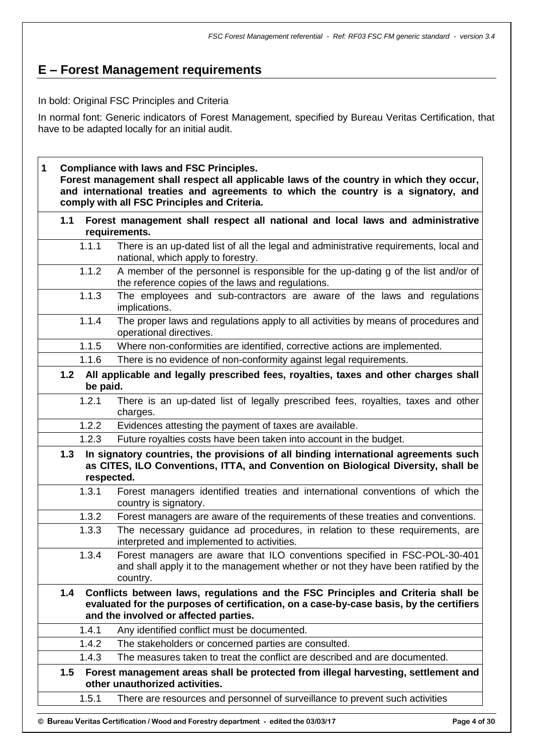## <span id="page-3-0"></span>**E – Forest Management requirements**

In bold: Original FSC Principles and Criteria

 $\overline{\phantom{a}}$ 

In normal font: Generic indicators of Forest Management, specified by Bureau Veritas Certification, that have to be adapted locally for an initial audit.

| 1 | <b>Compliance with laws and FSC Principles.</b><br>Forest management shall respect all applicable laws of the country in which they occur,<br>and international treaties and agreements to which the country is a signatory, and<br>comply with all FSC Principles and Criteria. |                                                                                                                                                                                                                      |  |
|---|----------------------------------------------------------------------------------------------------------------------------------------------------------------------------------------------------------------------------------------------------------------------------------|----------------------------------------------------------------------------------------------------------------------------------------------------------------------------------------------------------------------|--|
|   | 1.1                                                                                                                                                                                                                                                                              | Forest management shall respect all national and local laws and administrative<br>requirements.                                                                                                                      |  |
|   | 1.1.1                                                                                                                                                                                                                                                                            | There is an up-dated list of all the legal and administrative requirements, local and<br>national, which apply to forestry.                                                                                          |  |
|   | 1.1.2                                                                                                                                                                                                                                                                            | A member of the personnel is responsible for the up-dating g of the list and/or of<br>the reference copies of the laws and regulations.                                                                              |  |
|   | 1.1.3                                                                                                                                                                                                                                                                            | The employees and sub-contractors are aware of the laws and regulations<br>implications.                                                                                                                             |  |
|   | 1.1.4                                                                                                                                                                                                                                                                            | The proper laws and regulations apply to all activities by means of procedures and<br>operational directives.                                                                                                        |  |
|   | 1.1.5                                                                                                                                                                                                                                                                            | Where non-conformities are identified, corrective actions are implemented.                                                                                                                                           |  |
|   | 1.1.6                                                                                                                                                                                                                                                                            | There is no evidence of non-conformity against legal requirements.                                                                                                                                                   |  |
|   | 1.2<br>be paid.                                                                                                                                                                                                                                                                  | All applicable and legally prescribed fees, royalties, taxes and other charges shall                                                                                                                                 |  |
|   | 1.2.1                                                                                                                                                                                                                                                                            | There is an up-dated list of legally prescribed fees, royalties, taxes and other<br>charges.                                                                                                                         |  |
|   | 1.2.2                                                                                                                                                                                                                                                                            | Evidences attesting the payment of taxes are available.                                                                                                                                                              |  |
|   | 1.2.3                                                                                                                                                                                                                                                                            | Future royalties costs have been taken into account in the budget.                                                                                                                                                   |  |
|   | 1.3<br>respected.                                                                                                                                                                                                                                                                | In signatory countries, the provisions of all binding international agreements such<br>as CITES, ILO Conventions, ITTA, and Convention on Biological Diversity, shall be                                             |  |
|   | 1.3.1                                                                                                                                                                                                                                                                            | Forest managers identified treaties and international conventions of which the<br>country is signatory.                                                                                                              |  |
|   | 1.3.2                                                                                                                                                                                                                                                                            | Forest managers are aware of the requirements of these treaties and conventions.                                                                                                                                     |  |
|   | 1.3.3                                                                                                                                                                                                                                                                            | The necessary guidance ad procedures, in relation to these requirements, are<br>interpreted and implemented to activities.                                                                                           |  |
|   | 1.3.4                                                                                                                                                                                                                                                                            | Forest managers are aware that ILO conventions specified in FSC-POL-30-401<br>and shall apply it to the management whether or not they have been ratified by the<br>country.                                         |  |
|   | 1.4                                                                                                                                                                                                                                                                              | Conflicts between laws, regulations and the FSC Principles and Criteria shall be<br>evaluated for the purposes of certification, on a case-by-case basis, by the certifiers<br>and the involved or affected parties. |  |
|   | 1.4.1                                                                                                                                                                                                                                                                            | Any identified conflict must be documented.                                                                                                                                                                          |  |
|   | 1.4.2                                                                                                                                                                                                                                                                            | The stakeholders or concerned parties are consulted.                                                                                                                                                                 |  |
|   | 1.4.3                                                                                                                                                                                                                                                                            | The measures taken to treat the conflict are described and are documented.                                                                                                                                           |  |
|   | Forest management areas shall be protected from illegal harvesting, settlement and<br>1.5<br>other unauthorized activities.                                                                                                                                                      |                                                                                                                                                                                                                      |  |
|   | 1.5.1                                                                                                                                                                                                                                                                            | There are resources and personnel of surveillance to prevent such activities                                                                                                                                         |  |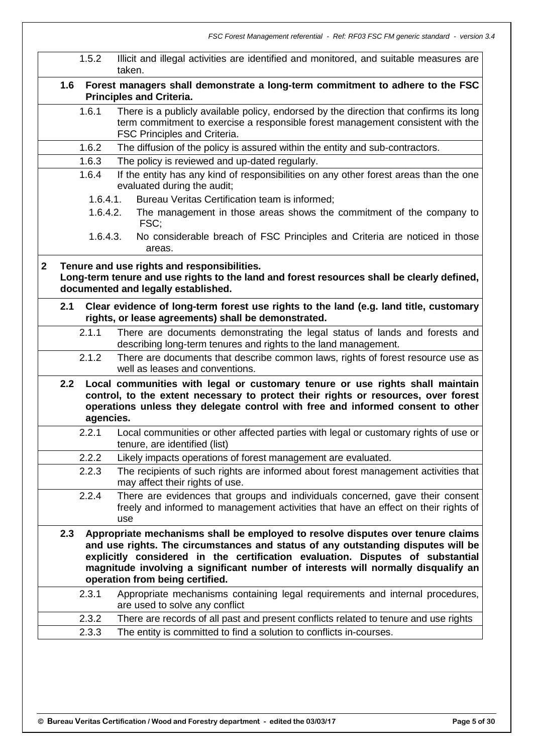|              |                                                                                                                         | 1.5.2     | Illicit and illegal activities are identified and monitored, and suitable measures are<br>taken.                                                                                                                                                                                                                                                                              |
|--------------|-------------------------------------------------------------------------------------------------------------------------|-----------|-------------------------------------------------------------------------------------------------------------------------------------------------------------------------------------------------------------------------------------------------------------------------------------------------------------------------------------------------------------------------------|
|              | 1.6<br>Forest managers shall demonstrate a long-term commitment to adhere to the FSC<br><b>Principles and Criteria.</b> |           |                                                                                                                                                                                                                                                                                                                                                                               |
|              |                                                                                                                         | 1.6.1     | There is a publicly available policy, endorsed by the direction that confirms its long<br>term commitment to exercise a responsible forest management consistent with the<br>FSC Principles and Criteria.                                                                                                                                                                     |
|              |                                                                                                                         | 1.6.2     | The diffusion of the policy is assured within the entity and sub-contractors.                                                                                                                                                                                                                                                                                                 |
|              |                                                                                                                         | 1.6.3     | The policy is reviewed and up-dated regularly.                                                                                                                                                                                                                                                                                                                                |
|              |                                                                                                                         | 1.6.4     | If the entity has any kind of responsibilities on any other forest areas than the one<br>evaluated during the audit;                                                                                                                                                                                                                                                          |
|              |                                                                                                                         | 1.6.4.1.  | Bureau Veritas Certification team is informed;                                                                                                                                                                                                                                                                                                                                |
|              |                                                                                                                         | 1.6.4.2.  | The management in those areas shows the commitment of the company to<br>FSC;                                                                                                                                                                                                                                                                                                  |
|              |                                                                                                                         | 1.6.4.3.  | No considerable breach of FSC Principles and Criteria are noticed in those<br>areas.                                                                                                                                                                                                                                                                                          |
| $\mathbf{2}$ |                                                                                                                         |           | Tenure and use rights and responsibilities.<br>Long-term tenure and use rights to the land and forest resources shall be clearly defined,<br>documented and legally established.                                                                                                                                                                                              |
|              | 2.1                                                                                                                     |           | Clear evidence of long-term forest use rights to the land (e.g. land title, customary<br>rights, or lease agreements) shall be demonstrated.                                                                                                                                                                                                                                  |
|              |                                                                                                                         | 2.1.1     | There are documents demonstrating the legal status of lands and forests and<br>describing long-term tenures and rights to the land management.                                                                                                                                                                                                                                |
|              |                                                                                                                         | 2.1.2     | There are documents that describe common laws, rights of forest resource use as<br>well as leases and conventions.                                                                                                                                                                                                                                                            |
|              | 2.2                                                                                                                     | agencies. | Local communities with legal or customary tenure or use rights shall maintain<br>control, to the extent necessary to protect their rights or resources, over forest<br>operations unless they delegate control with free and informed consent to other                                                                                                                        |
|              |                                                                                                                         | 2.2.1     | Local communities or other affected parties with legal or customary rights of use or<br>tenure, are identified (list)                                                                                                                                                                                                                                                         |
|              |                                                                                                                         | 2.2.2     | Likely impacts operations of forest management are evaluated.                                                                                                                                                                                                                                                                                                                 |
|              |                                                                                                                         | 2.2.3     | The recipients of such rights are informed about forest management activities that<br>may affect their rights of use.                                                                                                                                                                                                                                                         |
|              |                                                                                                                         | 2.2.4     | There are evidences that groups and individuals concerned, gave their consent<br>freely and informed to management activities that have an effect on their rights of<br>use                                                                                                                                                                                                   |
|              | 2.3                                                                                                                     |           | Appropriate mechanisms shall be employed to resolve disputes over tenure claims<br>and use rights. The circumstances and status of any outstanding disputes will be<br>explicitly considered in the certification evaluation. Disputes of substantial<br>magnitude involving a significant number of interests will normally disqualify an<br>operation from being certified. |
|              |                                                                                                                         | 2.3.1     | Appropriate mechanisms containing legal requirements and internal procedures,                                                                                                                                                                                                                                                                                                 |
|              |                                                                                                                         |           | are used to solve any conflict                                                                                                                                                                                                                                                                                                                                                |
|              |                                                                                                                         | 2.3.2     | There are records of all past and present conflicts related to tenure and use rights                                                                                                                                                                                                                                                                                          |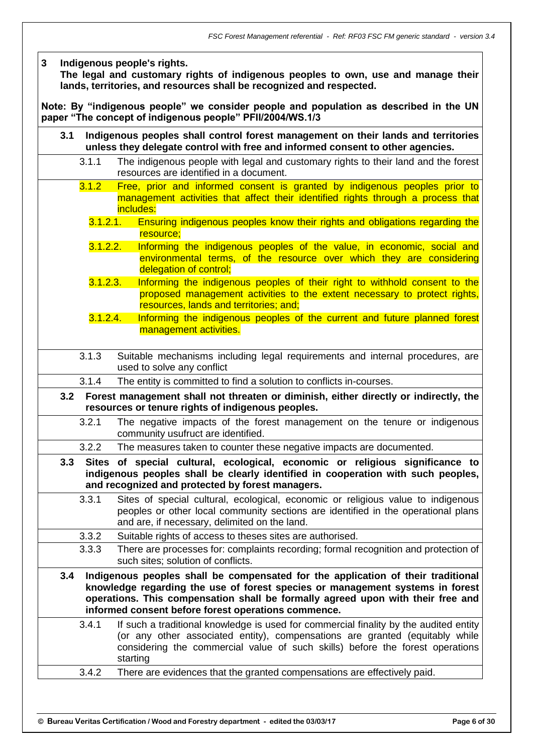#### **3 Indigenous people's rights.**

**The legal and customary rights of indigenous peoples to own, use and manage their lands, territories, and resources shall be recognized and respected.** 

**Note: By "indigenous people" we consider people and population as described in the UN paper "The concept of indigenous people" PFII/2004/WS.1/3**

| The indigenous people with legal and customary rights to their land and the forest<br>3.1.1<br>resources are identified in a document.                                                                                                                                                                             |  |
|--------------------------------------------------------------------------------------------------------------------------------------------------------------------------------------------------------------------------------------------------------------------------------------------------------------------|--|
| Free, prior and informed consent is granted by indigenous peoples prior to<br>3.1.2<br>management activities that affect their identified rights through a process that<br>includes:                                                                                                                               |  |
| Ensuring indigenous peoples know their rights and obligations regarding the<br>3.1.2.1.<br>resource;                                                                                                                                                                                                               |  |
| Informing the indigenous peoples of the value, in economic, social and<br>3.1.2.2.<br>environmental terms, of the resource over which they are considering<br>delegation of control;                                                                                                                               |  |
| Informing the indigenous peoples of their right to withhold consent to the<br>3.1.2.3.<br>proposed management activities to the extent necessary to protect rights,<br>resources, lands and territories; and;                                                                                                      |  |
| 3.1.2.4.<br>Informing the indigenous peoples of the current and future planned forest<br>management activities.                                                                                                                                                                                                    |  |
| 3.1.3<br>Suitable mechanisms including legal requirements and internal procedures, are<br>used to solve any conflict                                                                                                                                                                                               |  |
| 3.1.4<br>The entity is committed to find a solution to conflicts in-courses.                                                                                                                                                                                                                                       |  |
| 3.2<br>Forest management shall not threaten or diminish, either directly or indirectly, the<br>resources or tenure rights of indigenous peoples.                                                                                                                                                                   |  |
| 3.2.1<br>The negative impacts of the forest management on the tenure or indigenous<br>community usufruct are identified.                                                                                                                                                                                           |  |
| 3.2.2<br>The measures taken to counter these negative impacts are documented.                                                                                                                                                                                                                                      |  |
| Sites of special cultural, ecological, economic or religious significance to<br>3.3<br>indigenous peoples shall be clearly identified in cooperation with such peoples,<br>and recognized and protected by forest managers.                                                                                        |  |
| Sites of special cultural, ecological, economic or religious value to indigenous<br>3.3.1<br>peoples or other local community sections are identified in the operational plans<br>and are, if necessary, delimited on the land.                                                                                    |  |
| Suitable rights of access to theses sites are authorised.<br>3.3.2                                                                                                                                                                                                                                                 |  |
| 3.3.3<br>There are processes for: complaints recording; formal recognition and protection of<br>such sites; solution of conflicts.                                                                                                                                                                                 |  |
| Indigenous peoples shall be compensated for the application of their traditional<br>3.4<br>knowledge regarding the use of forest species or management systems in forest<br>operations. This compensation shall be formally agreed upon with their free and<br>informed consent before forest operations commence. |  |
| 3.4.1<br>If such a traditional knowledge is used for commercial finality by the audited entity<br>(or any other associated entity), compensations are granted (equitably while<br>considering the commercial value of such skills) before the forest operations<br>starting                                        |  |
| There are evidences that the granted compensations are effectively paid.<br>3.4.2                                                                                                                                                                                                                                  |  |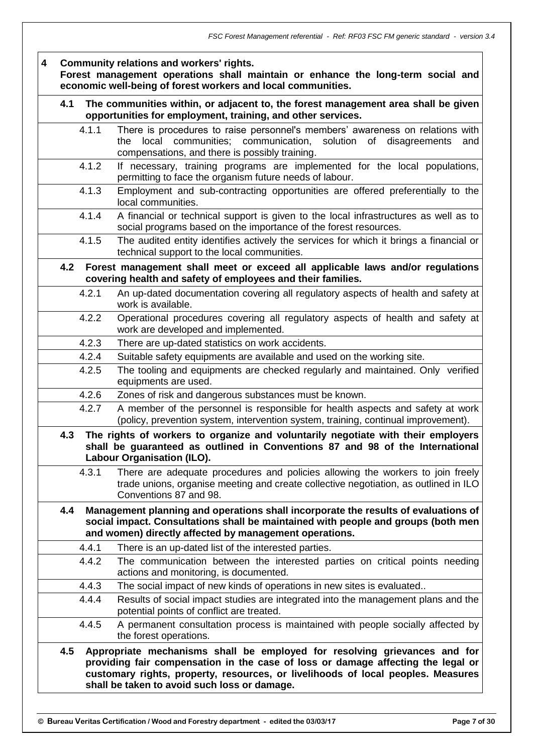| 4 |       | <b>Community relations and workers' rights.</b><br>Forest management operations shall maintain or enhance the long-term social and<br>economic well-being of forest workers and local communities.                                                                                                |
|---|-------|---------------------------------------------------------------------------------------------------------------------------------------------------------------------------------------------------------------------------------------------------------------------------------------------------|
|   | 4.1   | The communities within, or adjacent to, the forest management area shall be given<br>opportunities for employment, training, and other services.                                                                                                                                                  |
|   | 4.1.1 | There is procedures to raise personnel's members' awareness on relations with<br>the local communities; communication,<br>solution of<br>disagreements<br>and<br>compensations, and there is possibly training.                                                                                   |
|   | 4.1.2 | If necessary, training programs are implemented for the local populations,<br>permitting to face the organism future needs of labour.                                                                                                                                                             |
|   | 4.1.3 | Employment and sub-contracting opportunities are offered preferentially to the<br>local communities.                                                                                                                                                                                              |
|   | 4.1.4 | A financial or technical support is given to the local infrastructures as well as to<br>social programs based on the importance of the forest resources.                                                                                                                                          |
|   | 4.1.5 | The audited entity identifies actively the services for which it brings a financial or<br>technical support to the local communities.                                                                                                                                                             |
|   | 4.2   | Forest management shall meet or exceed all applicable laws and/or regulations<br>covering health and safety of employees and their families.                                                                                                                                                      |
|   | 4.2.1 | An up-dated documentation covering all regulatory aspects of health and safety at<br>work is available.                                                                                                                                                                                           |
|   | 4.2.2 | Operational procedures covering all regulatory aspects of health and safety at<br>work are developed and implemented.                                                                                                                                                                             |
|   | 4.2.3 | There are up-dated statistics on work accidents.                                                                                                                                                                                                                                                  |
|   | 4.2.4 | Suitable safety equipments are available and used on the working site.                                                                                                                                                                                                                            |
|   | 4.2.5 | The tooling and equipments are checked regularly and maintained. Only verified<br>equipments are used.                                                                                                                                                                                            |
|   | 4.2.6 | Zones of risk and dangerous substances must be known.                                                                                                                                                                                                                                             |
|   | 4.2.7 | A member of the personnel is responsible for health aspects and safety at work<br>(policy, prevention system, intervention system, training, continual improvement).                                                                                                                              |
|   | 4.3   | The rights of workers to organize and voluntarily negotiate with their employers<br>shall be guaranteed as outlined in Conventions 87 and 98 of the International<br><b>Labour Organisation (ILO).</b>                                                                                            |
|   | 4.3.1 | There are adequate procedures and policies allowing the workers to join freely<br>trade unions, organise meeting and create collective negotiation, as outlined in ILO<br>Conventions 87 and 98.                                                                                                  |
|   | 4.4   | Management planning and operations shall incorporate the results of evaluations of<br>social impact. Consultations shall be maintained with people and groups (both men<br>and women) directly affected by management operations.                                                                 |
|   | 4.4.1 | There is an up-dated list of the interested parties.                                                                                                                                                                                                                                              |
|   | 4.4.2 | The communication between the interested parties on critical points needing<br>actions and monitoring, is documented.                                                                                                                                                                             |
|   | 4.4.3 | The social impact of new kinds of operations in new sites is evaluated                                                                                                                                                                                                                            |
|   | 4.4.4 | Results of social impact studies are integrated into the management plans and the<br>potential points of conflict are treated.                                                                                                                                                                    |
|   | 4.4.5 | A permanent consultation process is maintained with people socially affected by<br>the forest operations.                                                                                                                                                                                         |
|   | 4.5   | Appropriate mechanisms shall be employed for resolving grievances and for<br>providing fair compensation in the case of loss or damage affecting the legal or<br>customary rights, property, resources, or livelihoods of local peoples. Measures<br>shall be taken to avoid such loss or damage. |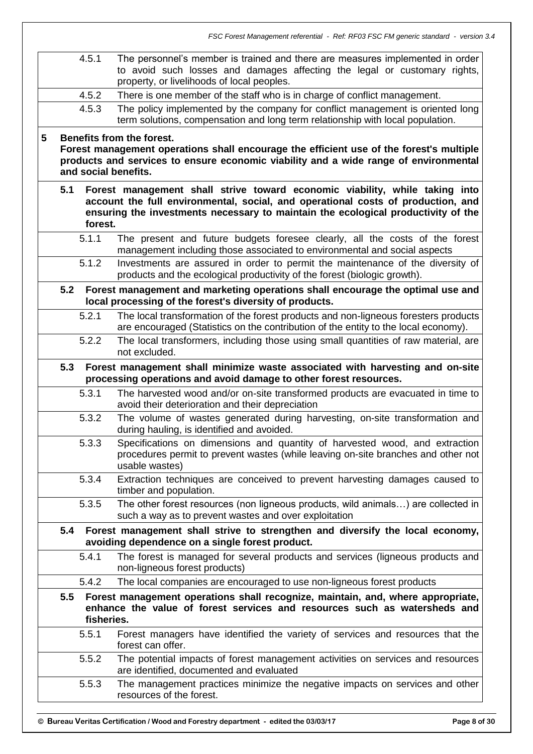|     |            | FSC Forest Management referential - Ref: RF03 FSC FM generic standard - version 3.4                                                                                                                                                                  |
|-----|------------|------------------------------------------------------------------------------------------------------------------------------------------------------------------------------------------------------------------------------------------------------|
|     | 4.5.1      | The personnel's member is trained and there are measures implemented in order<br>to avoid such losses and damages affecting the legal or customary rights,<br>property, or livelihoods of local peoples.                                             |
|     | 4.5.2      | There is one member of the staff who is in charge of conflict management.                                                                                                                                                                            |
|     | 4.5.3      | The policy implemented by the company for conflict management is oriented long<br>term solutions, compensation and long term relationship with local population.                                                                                     |
| 5   |            | Benefits from the forest.<br>Forest management operations shall encourage the efficient use of the forest's multiple<br>products and services to ensure economic viability and a wide range of environmental<br>and social benefits.                 |
| 5.1 | forest.    | Forest management shall strive toward economic viability, while taking into<br>account the full environmental, social, and operational costs of production, and<br>ensuring the investments necessary to maintain the ecological productivity of the |
|     | 5.1.1      | The present and future budgets foresee clearly, all the costs of the forest<br>management including those associated to environmental and social aspects                                                                                             |
|     | 5.1.2      | Investments are assured in order to permit the maintenance of the diversity of<br>products and the ecological productivity of the forest (biologic growth).                                                                                          |
| 5.2 |            | Forest management and marketing operations shall encourage the optimal use and<br>local processing of the forest's diversity of products.                                                                                                            |
|     | 5.2.1      | The local transformation of the forest products and non-ligneous foresters products<br>are encouraged (Statistics on the contribution of the entity to the local economy).                                                                           |
|     | 5.2.2      | The local transformers, including those using small quantities of raw material, are<br>not excluded.                                                                                                                                                 |
| 5.3 |            | Forest management shall minimize waste associated with harvesting and on-site<br>processing operations and avoid damage to other forest resources.                                                                                                   |
|     | 5.3.1      | The harvested wood and/or on-site transformed products are evacuated in time to<br>avoid their deterioration and their depreciation                                                                                                                  |
|     | 5.3.2      | The volume of wastes generated during harvesting, on-site transformation and<br>during hauling, is identified and avoided.                                                                                                                           |
|     | 5.3.3      | Specifications on dimensions and quantity of harvested wood, and extraction<br>procedures permit to prevent wastes (while leaving on-site branches and other not<br>usable wastes)                                                                   |
|     | 5.3.4      | Extraction techniques are conceived to prevent harvesting damages caused to<br>timber and population.                                                                                                                                                |
|     | 5.3.5      | The other forest resources (non ligneous products, wild animals) are collected in<br>such a way as to prevent wastes and over exploitation                                                                                                           |
| 5.4 |            | Forest management shall strive to strengthen and diversify the local economy,<br>avoiding dependence on a single forest product.                                                                                                                     |
|     | 5.4.1      | The forest is managed for several products and services (ligneous products and<br>non-ligneous forest products)                                                                                                                                      |
|     | 5.4.2      | The local companies are encouraged to use non-ligneous forest products                                                                                                                                                                               |
| 5.5 | fisheries. | Forest management operations shall recognize, maintain, and, where appropriate,<br>enhance the value of forest services and resources such as watersheds and                                                                                         |
|     | 5.5.1      | Forest managers have identified the variety of services and resources that the<br>forest can offer.                                                                                                                                                  |
|     | 5.5.2      | The potential impacts of forest management activities on services and resources<br>are identified, documented and evaluated                                                                                                                          |
|     | 5.5.3      | The management practices minimize the negative impacts on services and other<br>resources of the forest.                                                                                                                                             |

**© Bureau Veritas Certification / Wood and Forestry department - edited the 03/03/17 Page 8 of 30**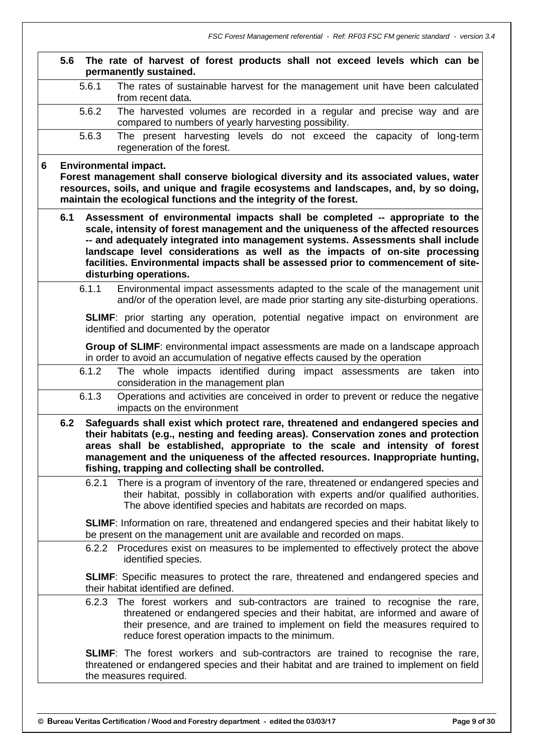|   | 5.6 |       | The rate of harvest of forest products shall not exceed levels which can be<br>permanently sustained.                                                                                                                                                                                                                                                                                                                                                |
|---|-----|-------|------------------------------------------------------------------------------------------------------------------------------------------------------------------------------------------------------------------------------------------------------------------------------------------------------------------------------------------------------------------------------------------------------------------------------------------------------|
|   |     | 5.6.1 | The rates of sustainable harvest for the management unit have been calculated<br>from recent data.                                                                                                                                                                                                                                                                                                                                                   |
|   |     | 5.6.2 | The harvested volumes are recorded in a regular and precise way and are<br>compared to numbers of yearly harvesting possibility.                                                                                                                                                                                                                                                                                                                     |
|   |     | 5.6.3 | The present harvesting levels do not exceed the capacity of long-term<br>regeneration of the forest.                                                                                                                                                                                                                                                                                                                                                 |
| 6 |     |       | <b>Environmental impact.</b><br>Forest management shall conserve biological diversity and its associated values, water<br>resources, soils, and unique and fragile ecosystems and landscapes, and, by so doing,<br>maintain the ecological functions and the integrity of the forest.                                                                                                                                                                |
|   | 6.1 |       | Assessment of environmental impacts shall be completed -- appropriate to the<br>scale, intensity of forest management and the uniqueness of the affected resources<br>-- and adequately integrated into management systems. Assessments shall include<br>landscape level considerations as well as the impacts of on-site processing<br>facilities. Environmental impacts shall be assessed prior to commencement of site-<br>disturbing operations. |
|   |     | 6.1.1 | Environmental impact assessments adapted to the scale of the management unit<br>and/or of the operation level, are made prior starting any site-disturbing operations.                                                                                                                                                                                                                                                                               |
|   |     |       | <b>SLIMF:</b> prior starting any operation, potential negative impact on environment are<br>identified and documented by the operator                                                                                                                                                                                                                                                                                                                |
|   |     |       | Group of SLIMF: environmental impact assessments are made on a landscape approach<br>in order to avoid an accumulation of negative effects caused by the operation                                                                                                                                                                                                                                                                                   |
|   |     | 6.1.2 | The whole impacts identified during impact assessments are taken into<br>consideration in the management plan                                                                                                                                                                                                                                                                                                                                        |
|   |     | 6.1.3 | Operations and activities are conceived in order to prevent or reduce the negative<br>impacts on the environment                                                                                                                                                                                                                                                                                                                                     |
|   | 6.2 |       | Safeguards shall exist which protect rare, threatened and endangered species and<br>their habitats (e.g., nesting and feeding areas). Conservation zones and protection<br>areas shall be established, appropriate to the scale and intensity of forest<br>management and the uniqueness of the affected resources. Inappropriate hunting,<br>fishing, trapping and collecting shall be controlled.                                                  |
|   |     | 6.2.1 | There is a program of inventory of the rare, threatened or endangered species and<br>their habitat, possibly in collaboration with experts and/or qualified authorities.<br>The above identified species and habitats are recorded on maps.                                                                                                                                                                                                          |
|   |     |       | <b>SLIMF:</b> Information on rare, threatened and endangered species and their habitat likely to<br>be present on the management unit are available and recorded on maps.                                                                                                                                                                                                                                                                            |
|   |     | 6.2.2 | Procedures exist on measures to be implemented to effectively protect the above<br>identified species.                                                                                                                                                                                                                                                                                                                                               |
|   |     |       | <b>SLIMF:</b> Specific measures to protect the rare, threatened and endangered species and<br>their habitat identified are defined.                                                                                                                                                                                                                                                                                                                  |
|   |     |       | 6.2.3 The forest workers and sub-contractors are trained to recognise the rare,<br>threatened or endangered species and their habitat, are informed and aware of<br>their presence, and are trained to implement on field the measures required to<br>reduce forest operation impacts to the minimum.                                                                                                                                                |
|   |     |       | <b>SLIMF:</b> The forest workers and sub-contractors are trained to recognise the rare,<br>threatened or endangered species and their habitat and are trained to implement on field<br>the measures required.                                                                                                                                                                                                                                        |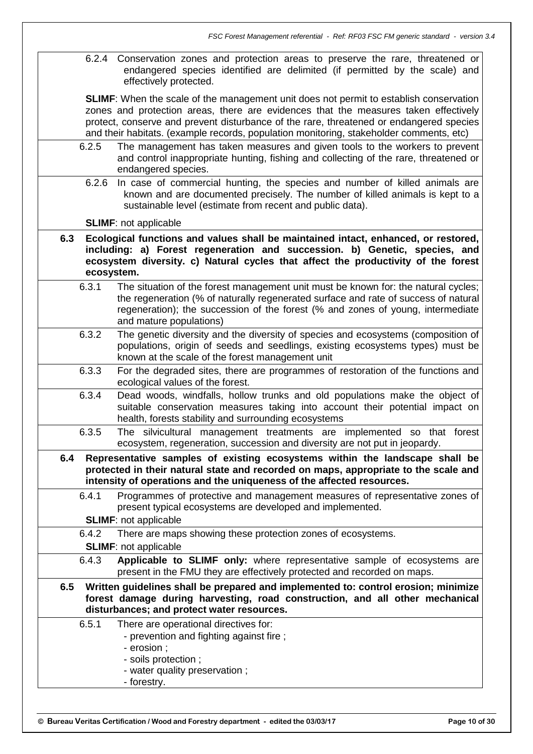6.2.4 Conservation zones and protection areas to preserve the rare, threatened or endangered species identified are delimited (if permitted by the scale) and effectively protected.

**SLIMF:** When the scale of the management unit does not permit to establish conservation zones and protection areas, there are evidences that the measures taken effectively protect, conserve and prevent disturbance of the rare, threatened or endangered species and their habitats. (example records, population monitoring, stakeholder comments, etc)

- 6.2.5 The management has taken measures and given tools to the workers to prevent and control inappropriate hunting, fishing and collecting of the rare, threatened or endangered species.
- 6.2.6 In case of commercial hunting, the species and number of killed animals are known and are documented precisely. The number of killed animals is kept to a sustainable level (estimate from recent and public data).

**SLIMF**: not applicable

- **6.3 Ecological functions and values shall be maintained intact, enhanced, or restored, including: a) Forest regeneration and succession. b) Genetic, species, and ecosystem diversity. c) Natural cycles that affect the productivity of the forest ecosystem.** 
	- 6.3.1 The situation of the forest management unit must be known for: the natural cycles; the regeneration (% of naturally regenerated surface and rate of success of natural regeneration); the succession of the forest (% and zones of young, intermediate and mature populations)
		- 6.3.2 The genetic diversity and the diversity of species and ecosystems (composition of populations, origin of seeds and seedlings, existing ecosystems types) must be known at the scale of the forest management unit
	- 6.3.3 For the degraded sites, there are programmes of restoration of the functions and ecological values of the forest.
	- 6.3.4 Dead woods, windfalls, hollow trunks and old populations make the object of suitable conservation measures taking into account their potential impact on health, forests stability and surrounding ecosystems
- 6.3.5 The silvicultural management treatments are implemented so that forest ecosystem, regeneration, succession and diversity are not put in jeopardy.
- **6.4 Representative samples of existing ecosystems within the landscape shall be protected in their natural state and recorded on maps, appropriate to the scale and intensity of operations and the uniqueness of the affected resources.** 
	- 6.4.1 Programmes of protective and management measures of representative zones of present typical ecosystems are developed and implemented.

**SLIMF**: not applicable

6.4.2 There are maps showing these protection zones of ecosystems.

**SLIMF**: not applicable

6.4.3 **Applicable to SLIMF only:** where representative sample of ecosystems are present in the FMU they are effectively protected and recorded on maps.

**6.5 Written guidelines shall be prepared and implemented to: control erosion; minimize forest damage during harvesting, road construction, and all other mechanical disturbances; and protect water resources.** 

- 6.5.1 There are operational directives for:
	- prevention and fighting against fire ;
	- erosion ;
	- soils protection ;
	- water quality preservation ;

- forestry.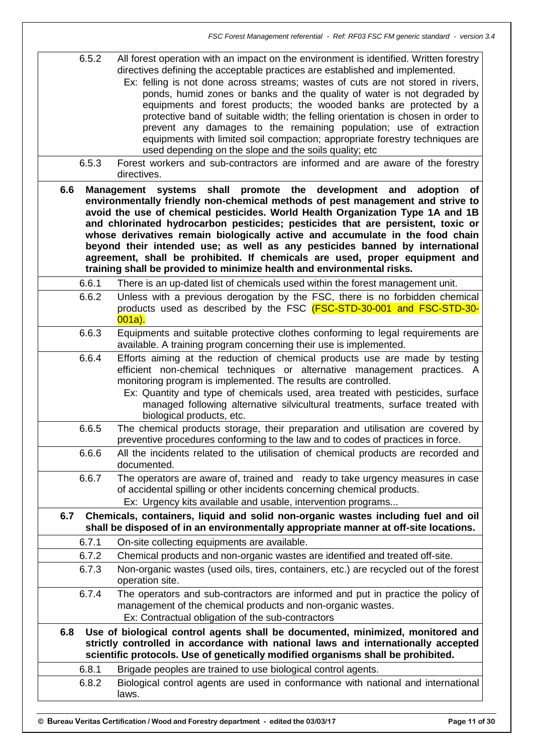|     | 6.5.2<br>6.5.3 | All forest operation with an impact on the environment is identified. Written forestry<br>directives defining the acceptable practices are established and implemented.<br>Ex: felling is not done across streams; wastes of cuts are not stored in rivers,<br>ponds, humid zones or banks and the quality of water is not degraded by<br>equipments and forest products; the wooded banks are protected by a<br>protective band of suitable width; the felling orientation is chosen in order to<br>prevent any damages to the remaining population; use of extraction<br>equipments with limited soil compaction; appropriate forestry techniques are<br>used depending on the slope and the soils quality; etc<br>Forest workers and sub-contractors are informed and are aware of the forestry |
|-----|----------------|----------------------------------------------------------------------------------------------------------------------------------------------------------------------------------------------------------------------------------------------------------------------------------------------------------------------------------------------------------------------------------------------------------------------------------------------------------------------------------------------------------------------------------------------------------------------------------------------------------------------------------------------------------------------------------------------------------------------------------------------------------------------------------------------------|
|     |                | directives.                                                                                                                                                                                                                                                                                                                                                                                                                                                                                                                                                                                                                                                                                                                                                                                        |
| 6.6 |                | Management systems shall promote the development and<br>adoption of<br>environmentally friendly non-chemical methods of pest management and strive to<br>avoid the use of chemical pesticides. World Health Organization Type 1A and 1B<br>and chlorinated hydrocarbon pesticides; pesticides that are persistent, toxic or<br>whose derivatives remain biologically active and accumulate in the food chain<br>beyond their intended use; as well as any pesticides banned by international                                                                                                                                                                                                                                                                                                       |
|     |                | agreement, shall be prohibited. If chemicals are used, proper equipment and<br>training shall be provided to minimize health and environmental risks.                                                                                                                                                                                                                                                                                                                                                                                                                                                                                                                                                                                                                                              |
|     | 6.6.1          | There is an up-dated list of chemicals used within the forest management unit.                                                                                                                                                                                                                                                                                                                                                                                                                                                                                                                                                                                                                                                                                                                     |
|     | 6.6.2          | Unless with a previous derogation by the FSC, there is no forbidden chemical<br>products used as described by the FSC (FSC-STD-30-001 and FSC-STD-30-<br>$001a$ ).                                                                                                                                                                                                                                                                                                                                                                                                                                                                                                                                                                                                                                 |
|     | 6.6.3          | Equipments and suitable protective clothes conforming to legal requirements are<br>available. A training program concerning their use is implemented.                                                                                                                                                                                                                                                                                                                                                                                                                                                                                                                                                                                                                                              |
|     | 6.6.4          | Efforts aiming at the reduction of chemical products use are made by testing<br>efficient non-chemical techniques or alternative management practices. A<br>monitoring program is implemented. The results are controlled.<br>Ex: Quantity and type of chemicals used, area treated with pesticides, surface<br>managed following alternative silvicultural treatments, surface treated with<br>biological products, etc.                                                                                                                                                                                                                                                                                                                                                                          |
|     | 6.6.5          | The chemical products storage, their preparation and utilisation are covered by<br>preventive procedures conforming to the law and to codes of practices in force.                                                                                                                                                                                                                                                                                                                                                                                                                                                                                                                                                                                                                                 |
|     | 6.6.6          | All the incidents related to the utilisation of chemical products are recorded and<br>documented.                                                                                                                                                                                                                                                                                                                                                                                                                                                                                                                                                                                                                                                                                                  |
|     | 6.6.7          | The operators are aware of, trained and ready to take urgency measures in case<br>of accidental spilling or other incidents concerning chemical products.<br>Ex: Urgency kits available and usable, intervention programs                                                                                                                                                                                                                                                                                                                                                                                                                                                                                                                                                                          |
| 6.7 |                | Chemicals, containers, liquid and solid non-organic wastes including fuel and oil<br>shall be disposed of in an environmentally appropriate manner at off-site locations.                                                                                                                                                                                                                                                                                                                                                                                                                                                                                                                                                                                                                          |
|     | 6.7.1          | On-site collecting equipments are available.                                                                                                                                                                                                                                                                                                                                                                                                                                                                                                                                                                                                                                                                                                                                                       |
|     | 6.7.2          | Chemical products and non-organic wastes are identified and treated off-site.                                                                                                                                                                                                                                                                                                                                                                                                                                                                                                                                                                                                                                                                                                                      |
|     | 6.7.3          | Non-organic wastes (used oils, tires, containers, etc.) are recycled out of the forest<br>operation site.                                                                                                                                                                                                                                                                                                                                                                                                                                                                                                                                                                                                                                                                                          |
|     | 6.7.4          | The operators and sub-contractors are informed and put in practice the policy of<br>management of the chemical products and non-organic wastes.<br>Ex: Contractual obligation of the sub-contractors                                                                                                                                                                                                                                                                                                                                                                                                                                                                                                                                                                                               |
| 6.8 |                | Use of biological control agents shall be documented, minimized, monitored and<br>strictly controlled in accordance with national laws and internationally accepted<br>scientific protocols. Use of genetically modified organisms shall be prohibited.                                                                                                                                                                                                                                                                                                                                                                                                                                                                                                                                            |
|     | 6.8.1          | Brigade peoples are trained to use biological control agents.                                                                                                                                                                                                                                                                                                                                                                                                                                                                                                                                                                                                                                                                                                                                      |
|     | 6.8.2          | Biological control agents are used in conformance with national and international<br>laws.                                                                                                                                                                                                                                                                                                                                                                                                                                                                                                                                                                                                                                                                                                         |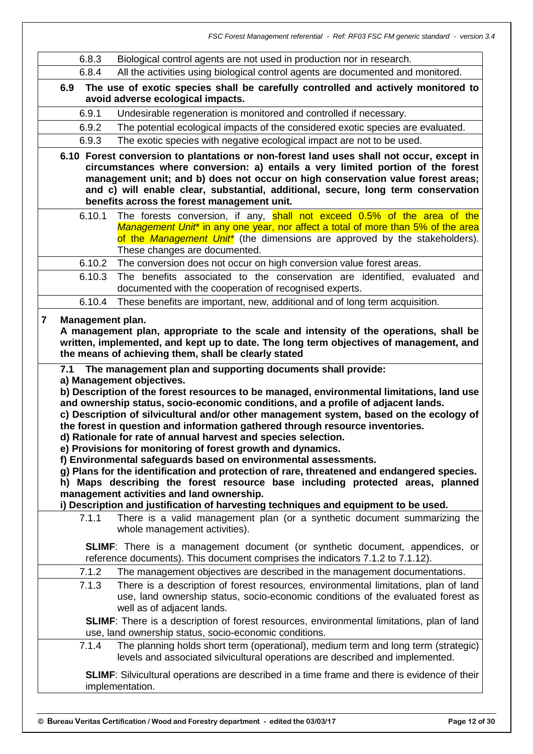*FSC Forest Management referential - Ref: RF03 FSC FM generic standard - version 3.4*

| 6.8.3  | Biological control agents are not used in production nor in research.                                                                                                                                                                                                                                                                                                                                                                                     |
|--------|-----------------------------------------------------------------------------------------------------------------------------------------------------------------------------------------------------------------------------------------------------------------------------------------------------------------------------------------------------------------------------------------------------------------------------------------------------------|
| 6.8.4  | All the activities using biological control agents are documented and monitored.                                                                                                                                                                                                                                                                                                                                                                          |
| 6.9    | The use of exotic species shall be carefully controlled and actively monitored to<br>avoid adverse ecological impacts.                                                                                                                                                                                                                                                                                                                                    |
| 6.9.1  | Undesirable regeneration is monitored and controlled if necessary.                                                                                                                                                                                                                                                                                                                                                                                        |
| 6.9.2  | The potential ecological impacts of the considered exotic species are evaluated.                                                                                                                                                                                                                                                                                                                                                                          |
| 6.9.3  | The exotic species with negative ecological impact are not to be used.                                                                                                                                                                                                                                                                                                                                                                                    |
|        | 6.10 Forest conversion to plantations or non-forest land uses shall not occur, except in<br>circumstances where conversion: a) entails a very limited portion of the forest<br>management unit; and b) does not occur on high conservation value forest areas;<br>and c) will enable clear, substantial, additional, secure, long term conservation<br>benefits across the forest management unit.                                                        |
| 6.10.1 | The forests conversion, if any, shall not exceed 0.5% of the area of the<br>Management Unit* in any one year, nor affect a total of more than 5% of the area<br>of the Management Unit <sup>*</sup> (the dimensions are approved by the stakeholders).<br>These changes are documented.                                                                                                                                                                   |
| 6.10.2 | The conversion does not occur on high conversion value forest areas.                                                                                                                                                                                                                                                                                                                                                                                      |
| 6.10.3 | The benefits associated to the conservation are identified, evaluated and<br>documented with the cooperation of recognised experts.                                                                                                                                                                                                                                                                                                                       |
| 6.10.4 | These benefits are important, new, additional and of long term acquisition.                                                                                                                                                                                                                                                                                                                                                                               |
| 7.1    | written, implemented, and kept up to date. The long term objectives of management, and<br>the means of achieving them, shall be clearly stated<br>The management plan and supporting documents shall provide:                                                                                                                                                                                                                                             |
|        | a) Management objectives.<br>b) Description of the forest resources to be managed, environmental limitations, land use<br>and ownership status, socio-economic conditions, and a profile of adjacent lands.<br>c) Description of silvicultural and/or other management system, based on the ecology of<br>the forest in question and information gathered through resource inventories.<br>d) Rationale for rate of annual harvest and species selection. |
|        | e) Provisions for monitoring of forest growth and dynamics.<br>f) Environmental safeguards based on environmental assessments.<br>g) Plans for the identification and protection of rare, threatened and endangered species.<br>h) Maps describing the forest resource base including protected areas, planned<br>management activities and land ownership.                                                                                               |
| 7.1.1  | i) Description and justification of harvesting techniques and equipment to be used.<br>There is a valid management plan (or a synthetic document summarizing the<br>whole management activities).                                                                                                                                                                                                                                                         |
|        | <b>SLIMF:</b> There is a management document (or synthetic document, appendices, or<br>reference documents). This document comprises the indicators 7.1.2 to 7.1.12).                                                                                                                                                                                                                                                                                     |
| 7.1.2  | The management objectives are described in the management documentations.                                                                                                                                                                                                                                                                                                                                                                                 |
| 7.1.3  | There is a description of forest resources, environmental limitations, plan of land<br>use, land ownership status, socio-economic conditions of the evaluated forest as<br>well as of adjacent lands.                                                                                                                                                                                                                                                     |
|        | SLIMF: There is a description of forest resources, environmental limitations, plan of land<br>use, land ownership status, socio-economic conditions.                                                                                                                                                                                                                                                                                                      |
| 7.1.4  | The planning holds short term (operational), medium term and long term (strategic)<br>levels and associated silvicultural operations are described and implemented.                                                                                                                                                                                                                                                                                       |
|        | <b>SLIMF:</b> Silvicultural operations are described in a time frame and there is evidence of their<br>implementation.                                                                                                                                                                                                                                                                                                                                    |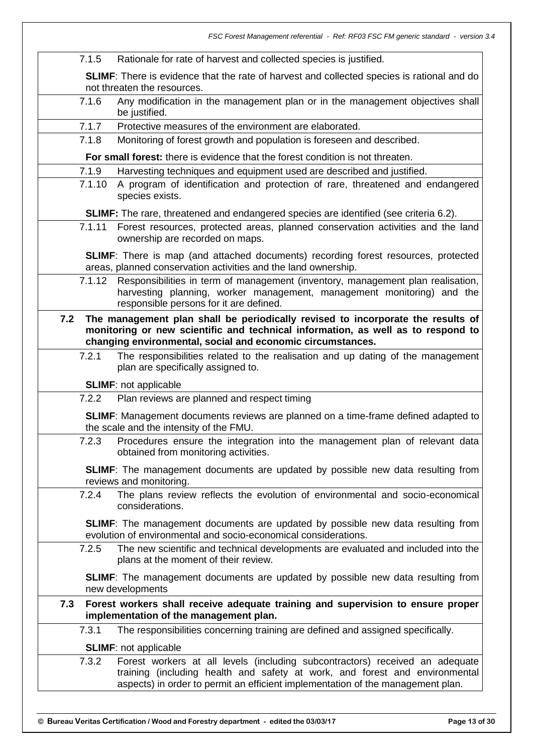|        | FSC Forest Management referential - Ref: RF03 FSC FM generic standard - version 3.4                                                                                                                                               |
|--------|-----------------------------------------------------------------------------------------------------------------------------------------------------------------------------------------------------------------------------------|
| 7.1.5  | Rationale for rate of harvest and collected species is justified.                                                                                                                                                                 |
|        | <b>SLIMF:</b> There is evidence that the rate of harvest and collected species is rational and do<br>not threaten the resources.                                                                                                  |
| 7.1.6  | Any modification in the management plan or in the management objectives shall<br>be justified.                                                                                                                                    |
| 7.1.7  | Protective measures of the environment are elaborated.                                                                                                                                                                            |
| 7.1.8  | Monitoring of forest growth and population is foreseen and described.                                                                                                                                                             |
|        | For small forest: there is evidence that the forest condition is not threaten.                                                                                                                                                    |
| 7.1.9  | Harvesting techniques and equipment used are described and justified.                                                                                                                                                             |
| 7.1.10 | A program of identification and protection of rare, threatened and endangered<br>species exists.                                                                                                                                  |
|        | <b>SLIMF:</b> The rare, threatened and endangered species are identified (see criteria 6.2).                                                                                                                                      |
| 7.1.11 | Forest resources, protected areas, planned conservation activities and the land<br>ownership are recorded on maps.                                                                                                                |
|        | <b>SLIMF:</b> There is map (and attached documents) recording forest resources, protected<br>areas, planned conservation activities and the land ownership.                                                                       |
|        | 7.1.12 Responsibilities in term of management (inventory, management plan realisation,<br>harvesting planning, worker management, management monitoring) and the<br>responsible persons for it are defined.                       |
| 7.2    | The management plan shall be periodically revised to incorporate the results of<br>monitoring or new scientific and technical information, as well as to respond to<br>changing environmental, social and economic circumstances. |
| 7.2.1  | The responsibilities related to the realisation and up dating of the management<br>plan are specifically assigned to.                                                                                                             |
|        | <b>SLIMF:</b> not applicable                                                                                                                                                                                                      |
|        | 7.2.2 Plan reviews are planned and respect timing                                                                                                                                                                                 |
|        | <b>SLIMF:</b> Management documents reviews are planned on a time-frame defined adapted to<br>the scale and the intensity of the FMU.                                                                                              |
| 7.2.3  | Procedures ensure the integration into the management plan of relevant data<br>obtained from monitoring activities.                                                                                                               |
|        | <b>SLIMF:</b> The management documents are updated by possible new data resulting from<br>reviews and monitoring.                                                                                                                 |
| 7.2.4  | The plans review reflects the evolution of environmental and socio-economical<br>considerations.                                                                                                                                  |
|        | <b>SLIMF:</b> The management documents are updated by possible new data resulting from<br>evolution of environmental and socio-economical considerations.                                                                         |
| 7.2.5  | The new scientific and technical developments are evaluated and included into the<br>plans at the moment of their review.                                                                                                         |
|        | <b>SLIMF:</b> The management documents are updated by possible new data resulting from<br>new developments                                                                                                                        |
| 7.3    | Forest workers shall receive adequate training and supervision to ensure proper<br>implementation of the management plan.                                                                                                         |
| 7.3.1  | The responsibilities concerning training are defined and assigned specifically.                                                                                                                                                   |
|        | <b>SLIMF:</b> not applicable                                                                                                                                                                                                      |
| 7.3.2  | Forest workers at all levels (including subcontractors) received an adequate<br>training (including health and safety at work, and forest and environmental                                                                       |

aspects) in order to permit an efficient implementation of the management plan.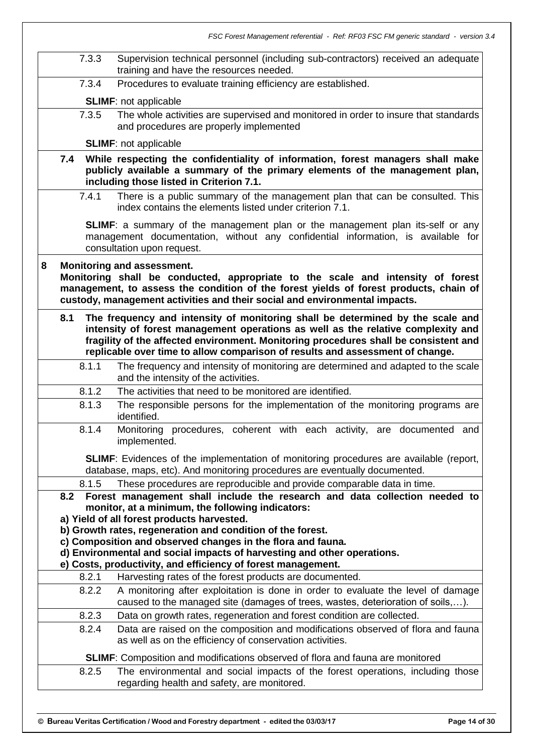|     | 7.3.3 | Supervision technical personnel (including sub-contractors) received an adequate<br>training and have the resources needed.                                                                                                                                                                                                                 |
|-----|-------|---------------------------------------------------------------------------------------------------------------------------------------------------------------------------------------------------------------------------------------------------------------------------------------------------------------------------------------------|
|     | 7.3.4 | Procedures to evaluate training efficiency are established.                                                                                                                                                                                                                                                                                 |
|     |       | <b>SLIMF:</b> not applicable                                                                                                                                                                                                                                                                                                                |
|     | 7.3.5 | The whole activities are supervised and monitored in order to insure that standards<br>and procedures are properly implemented                                                                                                                                                                                                              |
|     |       | <b>SLIMF:</b> not applicable                                                                                                                                                                                                                                                                                                                |
| 7.4 |       | While respecting the confidentiality of information, forest managers shall make<br>publicly available a summary of the primary elements of the management plan,<br>including those listed in Criterion 7.1.                                                                                                                                 |
|     | 7.4.1 | There is a public summary of the management plan that can be consulted. This<br>index contains the elements listed under criterion 7.1.                                                                                                                                                                                                     |
|     |       | <b>SLIMF:</b> a summary of the management plan or the management plan its-self or any<br>management documentation, without any confidential information, is available for<br>consultation upon request.                                                                                                                                     |
| 8   |       | <b>Monitoring and assessment.</b><br>Monitoring shall be conducted, appropriate to the scale and intensity of forest<br>management, to assess the condition of the forest yields of forest products, chain of<br>custody, management activities and their social and environmental impacts.                                                 |
| 8.1 |       | The frequency and intensity of monitoring shall be determined by the scale and<br>intensity of forest management operations as well as the relative complexity and<br>fragility of the affected environment. Monitoring procedures shall be consistent and<br>replicable over time to allow comparison of results and assessment of change. |
|     | 8.1.1 | The frequency and intensity of monitoring are determined and adapted to the scale                                                                                                                                                                                                                                                           |
|     |       | and the intensity of the activities.                                                                                                                                                                                                                                                                                                        |
|     | 8.1.2 | The activities that need to be monitored are identified.                                                                                                                                                                                                                                                                                    |
|     | 8.1.3 | The responsible persons for the implementation of the monitoring programs are<br>identified.                                                                                                                                                                                                                                                |
|     | 8.1.4 | Monitoring procedures, coherent with each activity, are documented and<br>implemented.                                                                                                                                                                                                                                                      |
|     |       | <b>SLIMF:</b> Evidences of the implementation of monitoring procedures are available (report,<br>database, maps, etc). And monitoring procedures are eventually documented.                                                                                                                                                                 |
|     | 8.1.5 | These procedures are reproducible and provide comparable data in time.                                                                                                                                                                                                                                                                      |
| 8.2 |       | Forest management shall include the research and data collection needed to<br>monitor, at a minimum, the following indicators:<br>a) Yield of all forest products harvested.                                                                                                                                                                |
|     |       | b) Growth rates, regeneration and condition of the forest.                                                                                                                                                                                                                                                                                  |
|     |       | c) Composition and observed changes in the flora and fauna.                                                                                                                                                                                                                                                                                 |
|     |       | d) Environmental and social impacts of harvesting and other operations.<br>e) Costs, productivity, and efficiency of forest management.                                                                                                                                                                                                     |
|     | 8.2.1 | Harvesting rates of the forest products are documented.                                                                                                                                                                                                                                                                                     |
|     | 8.2.2 | A monitoring after exploitation is done in order to evaluate the level of damage<br>caused to the managed site (damages of trees, wastes, deterioration of soils,).                                                                                                                                                                         |
|     | 8.2.3 | Data on growth rates, regeneration and forest condition are collected.                                                                                                                                                                                                                                                                      |
|     | 8.2.4 | Data are raised on the composition and modifications observed of flora and fauna<br>as well as on the efficiency of conservation activities.                                                                                                                                                                                                |
|     |       | SLIMF: Composition and modifications observed of flora and fauna are monitored                                                                                                                                                                                                                                                              |
|     | 8.2.5 | The environmental and social impacts of the forest operations, including those<br>regarding health and safety, are monitored.                                                                                                                                                                                                               |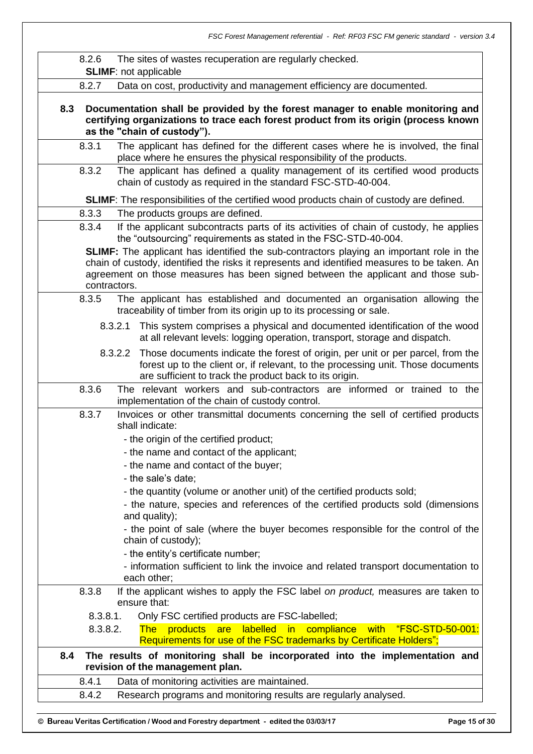| 8.2.6                                                                                                                                                                                                        | The sites of wastes recuperation are regularly checked.                                                                                                                                                                                |  |
|--------------------------------------------------------------------------------------------------------------------------------------------------------------------------------------------------------------|----------------------------------------------------------------------------------------------------------------------------------------------------------------------------------------------------------------------------------------|--|
| 8.2.7                                                                                                                                                                                                        | <b>SLIMF: not applicable</b><br>Data on cost, productivity and management efficiency are documented.                                                                                                                                   |  |
|                                                                                                                                                                                                              |                                                                                                                                                                                                                                        |  |
| Documentation shall be provided by the forest manager to enable monitoring and<br>8.3<br>certifying organizations to trace each forest product from its origin (process known<br>as the "chain of custody"). |                                                                                                                                                                                                                                        |  |
| 8.3.1                                                                                                                                                                                                        | The applicant has defined for the different cases where he is involved, the final<br>place where he ensures the physical responsibility of the products.                                                                               |  |
| 8.3.2                                                                                                                                                                                                        | The applicant has defined a quality management of its certified wood products<br>chain of custody as required in the standard FSC-STD-40-004.                                                                                          |  |
|                                                                                                                                                                                                              | <b>SLIMF:</b> The responsibilities of the certified wood products chain of custody are defined.                                                                                                                                        |  |
| 8.3.3                                                                                                                                                                                                        | The products groups are defined.                                                                                                                                                                                                       |  |
| 8.3.4                                                                                                                                                                                                        | If the applicant subcontracts parts of its activities of chain of custody, he applies<br>the "outsourcing" requirements as stated in the FSC-STD-40-004.                                                                               |  |
|                                                                                                                                                                                                              | <b>SLIMF:</b> The applicant has identified the sub-contractors playing an important role in the                                                                                                                                        |  |
|                                                                                                                                                                                                              | chain of custody, identified the risks it represents and identified measures to be taken. An                                                                                                                                           |  |
| contractors.                                                                                                                                                                                                 | agreement on those measures has been signed between the applicant and those sub-                                                                                                                                                       |  |
| 8.3.5                                                                                                                                                                                                        | The applicant has established and documented an organisation allowing the<br>traceability of timber from its origin up to its processing or sale.                                                                                      |  |
|                                                                                                                                                                                                              | This system comprises a physical and documented identification of the wood<br>8.3.2.1<br>at all relevant levels: logging operation, transport, storage and dispatch.                                                                   |  |
|                                                                                                                                                                                                              | 8.3.2.2 Those documents indicate the forest of origin, per unit or per parcel, from the<br>forest up to the client or, if relevant, to the processing unit. Those documents<br>are sufficient to track the product back to its origin. |  |
| 8.3.6                                                                                                                                                                                                        | The relevant workers and sub-contractors are informed or trained to the<br>implementation of the chain of custody control.                                                                                                             |  |
| 8.3.7                                                                                                                                                                                                        | Invoices or other transmittal documents concerning the sell of certified products<br>shall indicate:                                                                                                                                   |  |
|                                                                                                                                                                                                              | - the origin of the certified product;                                                                                                                                                                                                 |  |
|                                                                                                                                                                                                              | - the name and contact of the applicant;                                                                                                                                                                                               |  |
|                                                                                                                                                                                                              | - the name and contact of the buyer;                                                                                                                                                                                                   |  |
|                                                                                                                                                                                                              | - the sale's date;                                                                                                                                                                                                                     |  |
|                                                                                                                                                                                                              | - the quantity (volume or another unit) of the certified products sold;                                                                                                                                                                |  |
|                                                                                                                                                                                                              | - the nature, species and references of the certified products sold (dimensions<br>and quality);                                                                                                                                       |  |
|                                                                                                                                                                                                              | - the point of sale (where the buyer becomes responsible for the control of the<br>chain of custody);                                                                                                                                  |  |
|                                                                                                                                                                                                              | - the entity's certificate number;                                                                                                                                                                                                     |  |
|                                                                                                                                                                                                              | - information sufficient to link the invoice and related transport documentation to<br>each other;                                                                                                                                     |  |
| 8.3.8                                                                                                                                                                                                        | If the applicant wishes to apply the FSC label on product, measures are taken to                                                                                                                                                       |  |
| 8.3.8.1.                                                                                                                                                                                                     | ensure that:                                                                                                                                                                                                                           |  |
| 8.3.8.2.                                                                                                                                                                                                     | Only FSC certified products are FSC-labelled;<br>The products are labelled in compliance with<br>"FSC-STD-50-001:                                                                                                                      |  |
|                                                                                                                                                                                                              | Requirements for use of the FSC trademarks by Certificate Holders";                                                                                                                                                                    |  |
| 8.4                                                                                                                                                                                                          | The results of monitoring shall be incorporated into the implementation and<br>revision of the management plan.                                                                                                                        |  |
| 8.4.1                                                                                                                                                                                                        | Data of monitoring activities are maintained.                                                                                                                                                                                          |  |
| 8.4.2                                                                                                                                                                                                        | Research programs and monitoring results are regularly analysed.                                                                                                                                                                       |  |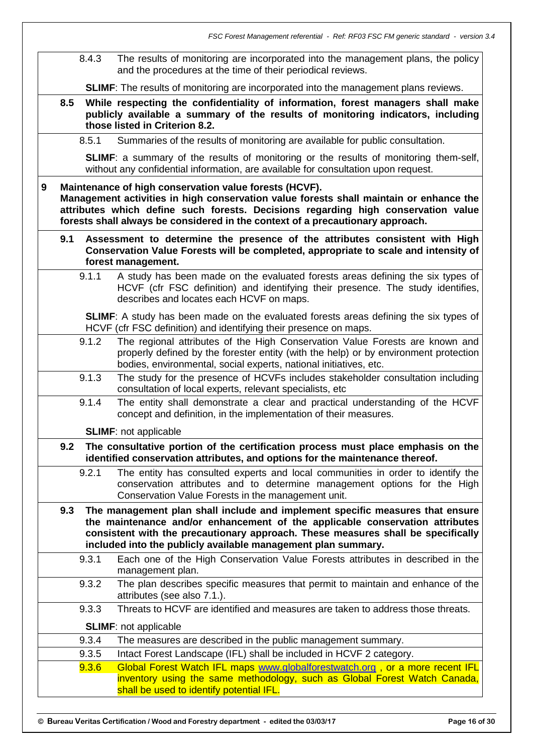8.4.3 The results of monitoring are incorporated into the management plans, the policy and the procedures at the time of their periodical reviews. **SLIMF:** The results of monitoring are incorporated into the management plans reviews. **8.5 While respecting the confidentiality of information, forest managers shall make publicly available a summary of the results of monitoring indicators, including those listed in Criterion 8.2.** 8.5.1 Summaries of the results of monitoring are available for public consultation. **SLIMF:** a summary of the results of monitoring or the results of monitoring them-self, without any confidential information, are available for consultation upon request. **9 Maintenance of high conservation value forests (HCVF). Management activities in high conservation value forests shall maintain or enhance the attributes which define such forests. Decisions regarding high conservation value forests shall always be considered in the context of a precautionary approach. 9.1 Assessment to determine the presence of the attributes consistent with High Conservation Value Forests will be completed, appropriate to scale and intensity of forest management.**  9.1.1 A study has been made on the evaluated forests areas defining the six types of HCVF (cfr FSC definition) and identifying their presence. The study identifies, describes and locates each HCVF on maps. **SLIMF:** A study has been made on the evaluated forests areas defining the six types of HCVF (cfr FSC definition) and identifying their presence on maps. 9.1.2 The regional attributes of the High Conservation Value Forests are known and properly defined by the forester entity (with the help) or by environment protection bodies, environmental, social experts, national initiatives, etc. 9.1.3 The study for the presence of HCVFs includes stakeholder consultation including consultation of local experts, relevant specialists, etc 9.1.4 The entity shall demonstrate a clear and practical understanding of the HCVF concept and definition, in the implementation of their measures. **SLIMF**: not applicable **9.2 The consultative portion of the certification process must place emphasis on the identified conservation attributes, and options for the maintenance thereof.**  9.2.1 The entity has consulted experts and local communities in order to identify the conservation attributes and to determine management options for the High Conservation Value Forests in the management unit. **9.3 The management plan shall include and implement specific measures that ensure the maintenance and/or enhancement of the applicable conservation attributes consistent with the precautionary approach. These measures shall be specifically included into the publicly available management plan summary.**  9.3.1 Each one of the High Conservation Value Forests attributes in described in the management plan. 9.3.2 The plan describes specific measures that permit to maintain and enhance of the attributes (see also 7.1.). 9.3.3 Threats to HCVF are identified and measures are taken to address those threats. **SLIMF**: not applicable 9.3.4 The measures are described in the public management summary. 9.3.5 Intact Forest Landscape (IFL) shall be included in HCVF 2 category. 9.3.6 Global Forest Watch IFL maps [www.globalforestwatch.org](http://www.globalforestwatch.org/), or a more recent IFL inventory using the same methodology, such as Global Forest Watch Canada, shall be used to identify potential IFL.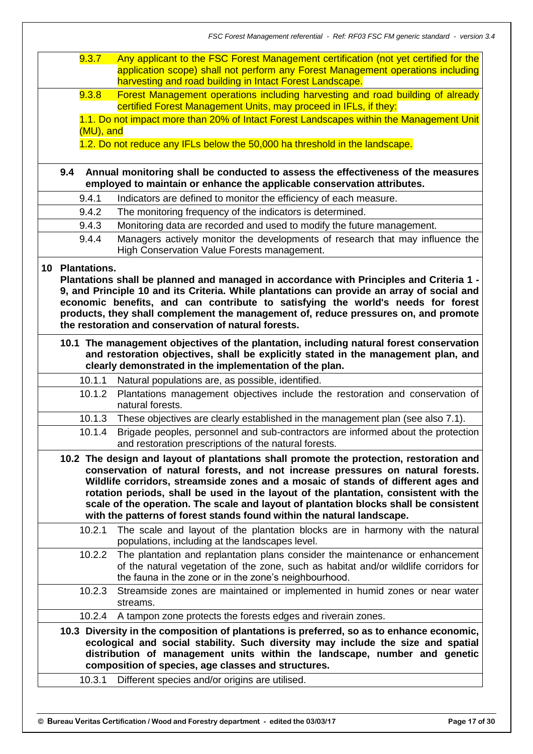| 9.3.7              | Any applicant to the FSC Forest Management certification (not yet certified for the<br>application scope) shall not perform any Forest Management operations including<br>harvesting and road building in Intact Forest Landscape.                                                                                                                                                                               |
|--------------------|------------------------------------------------------------------------------------------------------------------------------------------------------------------------------------------------------------------------------------------------------------------------------------------------------------------------------------------------------------------------------------------------------------------|
| 9.3.8<br>(MU), and | Forest Management operations including harvesting and road building of already<br>certified Forest Management Units, may proceed in IFLs, if they:<br>1.1. Do not impact more than 20% of Intact Forest Landscapes within the Management Unit<br>1.2. Do not reduce any IFLs below the 50,000 ha threshold in the landscape.                                                                                     |
| 9.4                | Annual monitoring shall be conducted to assess the effectiveness of the measures<br>employed to maintain or enhance the applicable conservation attributes.                                                                                                                                                                                                                                                      |
| 9.4.1              | Indicators are defined to monitor the efficiency of each measure.                                                                                                                                                                                                                                                                                                                                                |
| 9.4.2              | The monitoring frequency of the indicators is determined.                                                                                                                                                                                                                                                                                                                                                        |
| 9.4.3              | Monitoring data are recorded and used to modify the future management.                                                                                                                                                                                                                                                                                                                                           |
| 9.4.4              | Managers actively monitor the developments of research that may influence the<br>High Conservation Value Forests management.                                                                                                                                                                                                                                                                                     |
|                    | economic benefits, and can contribute to satisfying the world's needs for forest<br>products, they shall complement the management of, reduce pressures on, and promote<br>the restoration and conservation of natural forests.<br>10.1 The management objectives of the plantation, including natural forest conservation<br>and restoration objectives, shall be explicitly stated in the management plan, and |
|                    | clearly demonstrated in the implementation of the plan.                                                                                                                                                                                                                                                                                                                                                          |
| 10.1.1<br>10.1.2   | Natural populations are, as possible, identified.<br>Plantations management objectives include the restoration and conservation of                                                                                                                                                                                                                                                                               |
|                    | natural forests.                                                                                                                                                                                                                                                                                                                                                                                                 |
| 10.1.3             | These objectives are clearly established in the management plan (see also 7.1).                                                                                                                                                                                                                                                                                                                                  |
| 10.1.4             | Brigade peoples, personnel and sub-contractors are informed about the protection<br>and restoration prescriptions of the natural forests.                                                                                                                                                                                                                                                                        |
|                    | 10.2 The design and layout of plantations shall promote the protection, restoration and<br>conservation of natural forests, and not increase pressures on natural forests.<br>Wildlife corridors, streamside zones and a mosaic of stands of different ages and<br>rotation periods, shall be used in the layout of the plantation, consistent with the                                                          |
|                    | with the patterns of forest stands found within the natural landscape.                                                                                                                                                                                                                                                                                                                                           |
| 10.2.1             | scale of the operation. The scale and layout of plantation blocks shall be consistent<br>The scale and layout of the plantation blocks are in harmony with the natural<br>populations, including at the landscapes level.                                                                                                                                                                                        |
| 10.2.2             | the fauna in the zone or in the zone's neighbourhood.                                                                                                                                                                                                                                                                                                                                                            |
| 10.2.3             | The plantation and replantation plans consider the maintenance or enhancement<br>of the natural vegetation of the zone, such as habitat and/or wildlife corridors for<br>Streamside zones are maintained or implemented in humid zones or near water<br>streams.                                                                                                                                                 |
| 10.2.4             | A tampon zone protects the forests edges and riverain zones.                                                                                                                                                                                                                                                                                                                                                     |
|                    | 10.3 Diversity in the composition of plantations is preferred, so as to enhance economic,<br>ecological and social stability. Such diversity may include the size and spatial<br>distribution of management units within the landscape, number and genetic<br>composition of species, age classes and structures.                                                                                                |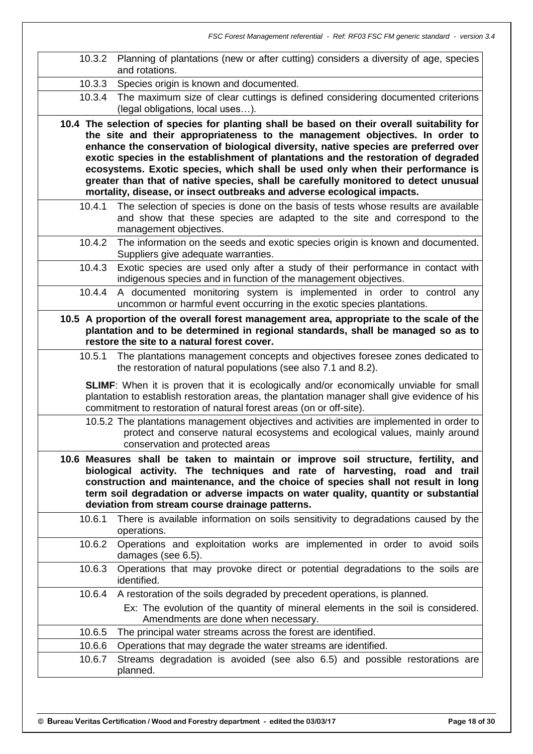| 10.3.2 | Planning of plantations (new or after cutting) considers a diversity of age, species<br>and rotations.                                                                                                                                                                                                                                                                                                                                                                                                                                                                                                      |
|--------|-------------------------------------------------------------------------------------------------------------------------------------------------------------------------------------------------------------------------------------------------------------------------------------------------------------------------------------------------------------------------------------------------------------------------------------------------------------------------------------------------------------------------------------------------------------------------------------------------------------|
| 10.3.3 | Species origin is known and documented.                                                                                                                                                                                                                                                                                                                                                                                                                                                                                                                                                                     |
| 10.3.4 | The maximum size of clear cuttings is defined considering documented criterions<br>(legal obligations, local uses).                                                                                                                                                                                                                                                                                                                                                                                                                                                                                         |
|        | 10.4 The selection of species for planting shall be based on their overall suitability for<br>the site and their appropriateness to the management objectives. In order to<br>enhance the conservation of biological diversity, native species are preferred over<br>exotic species in the establishment of plantations and the restoration of degraded<br>ecosystems. Exotic species, which shall be used only when their performance is<br>greater than that of native species, shall be carefully monitored to detect unusual<br>mortality, disease, or insect outbreaks and adverse ecological impacts. |
|        | 10.4.1 The selection of species is done on the basis of tests whose results are available<br>and show that these species are adapted to the site and correspond to the<br>management objectives.                                                                                                                                                                                                                                                                                                                                                                                                            |
| 10.4.2 | The information on the seeds and exotic species origin is known and documented.<br>Suppliers give adequate warranties.                                                                                                                                                                                                                                                                                                                                                                                                                                                                                      |
| 10.4.3 | Exotic species are used only after a study of their performance in contact with<br>indigenous species and in function of the management objectives.                                                                                                                                                                                                                                                                                                                                                                                                                                                         |
| 10.4.4 | A documented monitoring system is implemented in order to control any<br>uncommon or harmful event occurring in the exotic species plantations.                                                                                                                                                                                                                                                                                                                                                                                                                                                             |
|        | 10.5 A proportion of the overall forest management area, appropriate to the scale of the<br>plantation and to be determined in regional standards, shall be managed so as to<br>restore the site to a natural forest cover.                                                                                                                                                                                                                                                                                                                                                                                 |
| 10.5.1 | The plantations management concepts and objectives foresee zones dedicated to<br>the restoration of natural populations (see also 7.1 and 8.2).                                                                                                                                                                                                                                                                                                                                                                                                                                                             |
|        | <b>SLIMF:</b> When it is proven that it is ecologically and/or economically unviable for small<br>plantation to establish restoration areas, the plantation manager shall give evidence of his<br>commitment to restoration of natural forest areas (on or off-site).                                                                                                                                                                                                                                                                                                                                       |
|        | 10.5.2 The plantations management objectives and activities are implemented in order to<br>protect and conserve natural ecosystems and ecological values, mainly around<br>conservation and protected areas                                                                                                                                                                                                                                                                                                                                                                                                 |
| 10.6.1 | 10.6 Measures shall be taken to maintain or improve soil structure, fertility, and<br>biological activity. The techniques and rate of harvesting, road and trail<br>construction and maintenance, and the choice of species shall not result in long<br>term soil degradation or adverse impacts on water quality, quantity or substantial<br>deviation from stream course drainage patterns.                                                                                                                                                                                                               |
|        | There is available information on soils sensitivity to degradations caused by the<br>operations.                                                                                                                                                                                                                                                                                                                                                                                                                                                                                                            |
| 10.6.2 | Operations and exploitation works are implemented in order to avoid soils<br>damages (see 6.5).                                                                                                                                                                                                                                                                                                                                                                                                                                                                                                             |
| 10.6.3 | Operations that may provoke direct or potential degradations to the soils are<br>identified.                                                                                                                                                                                                                                                                                                                                                                                                                                                                                                                |
| 10.6.4 | A restoration of the soils degraded by precedent operations, is planned.<br>Ex: The evolution of the quantity of mineral elements in the soil is considered.<br>Amendments are done when necessary.                                                                                                                                                                                                                                                                                                                                                                                                         |
| 10.6.5 | The principal water streams across the forest are identified.                                                                                                                                                                                                                                                                                                                                                                                                                                                                                                                                               |
| 10.6.6 | Operations that may degrade the water streams are identified.                                                                                                                                                                                                                                                                                                                                                                                                                                                                                                                                               |
| 10.6.7 | Streams degradation is avoided (see also 6.5) and possible restorations are<br>planned.                                                                                                                                                                                                                                                                                                                                                                                                                                                                                                                     |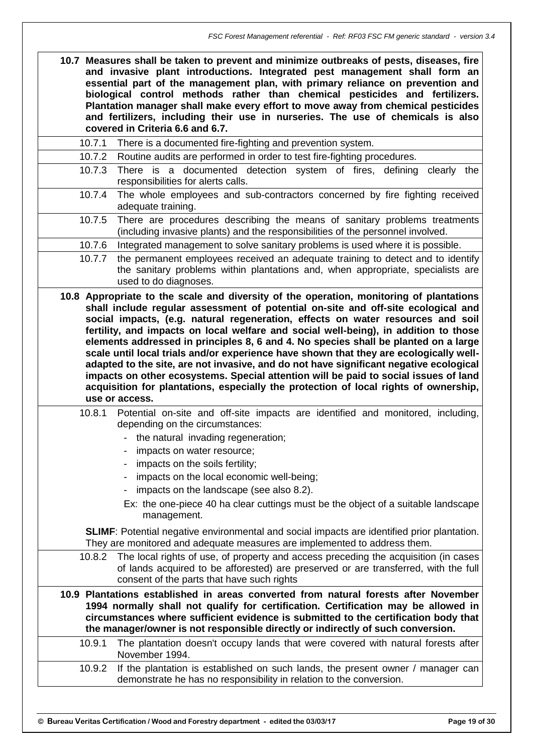*FSC Forest Management referential - Ref: RF03 FSC FM generic standard - version 3.4*

|        | 10.7 Measures shall be taken to prevent and minimize outbreaks of pests, diseases, fire<br>and invasive plant introductions. Integrated pest management shall form an<br>essential part of the management plan, with primary reliance on prevention and<br>biological control methods rather than chemical pesticides and fertilizers.<br>Plantation manager shall make every effort to move away from chemical pesticides<br>and fertilizers, including their use in nurseries. The use of chemicals is also<br>covered in Criteria 6.6 and 6.7.                 |
|--------|-------------------------------------------------------------------------------------------------------------------------------------------------------------------------------------------------------------------------------------------------------------------------------------------------------------------------------------------------------------------------------------------------------------------------------------------------------------------------------------------------------------------------------------------------------------------|
| 10.7.1 | There is a documented fire-fighting and prevention system.                                                                                                                                                                                                                                                                                                                                                                                                                                                                                                        |
| 10.7.2 | Routine audits are performed in order to test fire-fighting procedures.                                                                                                                                                                                                                                                                                                                                                                                                                                                                                           |
| 10.7.3 | There is a documented detection system of fires, defining clearly the<br>responsibilities for alerts calls.                                                                                                                                                                                                                                                                                                                                                                                                                                                       |
| 10.7.4 | The whole employees and sub-contractors concerned by fire fighting received<br>adequate training.                                                                                                                                                                                                                                                                                                                                                                                                                                                                 |
| 10.7.5 | There are procedures describing the means of sanitary problems treatments<br>(including invasive plants) and the responsibilities of the personnel involved.                                                                                                                                                                                                                                                                                                                                                                                                      |
| 10.7.6 | Integrated management to solve sanitary problems is used where it is possible.                                                                                                                                                                                                                                                                                                                                                                                                                                                                                    |
| 10.7.7 | the permanent employees received an adequate training to detect and to identify<br>the sanitary problems within plantations and, when appropriate, specialists are<br>used to do diagnoses.                                                                                                                                                                                                                                                                                                                                                                       |
|        | fertility, and impacts on local welfare and social well-being), in addition to those<br>elements addressed in principles 8, 6 and 4. No species shall be planted on a large<br>scale until local trials and/or experience have shown that they are ecologically well-<br>adapted to the site, are not invasive, and do not have significant negative ecological<br>impacts on other ecosystems. Special attention will be paid to social issues of land<br>acquisition for plantations, especially the protection of local rights of ownership,<br>use or access. |
| 10.8.1 | Potential on-site and off-site impacts are identified and monitored, including,<br>depending on the circumstances:                                                                                                                                                                                                                                                                                                                                                                                                                                                |
|        | - the natural invading regeneration;                                                                                                                                                                                                                                                                                                                                                                                                                                                                                                                              |
|        | impacts on water resource;<br>impacts on the soils fertility;                                                                                                                                                                                                                                                                                                                                                                                                                                                                                                     |
|        | impacts on the local economic well-being;                                                                                                                                                                                                                                                                                                                                                                                                                                                                                                                         |
|        | impacts on the landscape (see also 8.2).                                                                                                                                                                                                                                                                                                                                                                                                                                                                                                                          |
|        | Ex: the one-piece 40 ha clear cuttings must be the object of a suitable landscape<br>management.                                                                                                                                                                                                                                                                                                                                                                                                                                                                  |
|        | <b>SLIMF:</b> Potential negative environmental and social impacts are identified prior plantation.<br>They are monitored and adequate measures are implemented to address them.                                                                                                                                                                                                                                                                                                                                                                                   |
| 10.8.2 | The local rights of use, of property and access preceding the acquisition (in cases<br>of lands acquired to be afforested) are preserved or are transferred, with the full<br>consent of the parts that have such rights                                                                                                                                                                                                                                                                                                                                          |
|        | 10.9 Plantations established in areas converted from natural forests after November<br>1994 normally shall not qualify for certification. Certification may be allowed in<br>circumstances where sufficient evidence is submitted to the certification body that<br>the manager/owner is not responsible directly or indirectly of such conversion.                                                                                                                                                                                                               |
| 10.9.1 | The plantation doesn't occupy lands that were covered with natural forests after<br>November 1994.                                                                                                                                                                                                                                                                                                                                                                                                                                                                |
| 10.9.2 | If the plantation is established on such lands, the present owner / manager can<br>demonstrate he has no responsibility in relation to the conversion.                                                                                                                                                                                                                                                                                                                                                                                                            |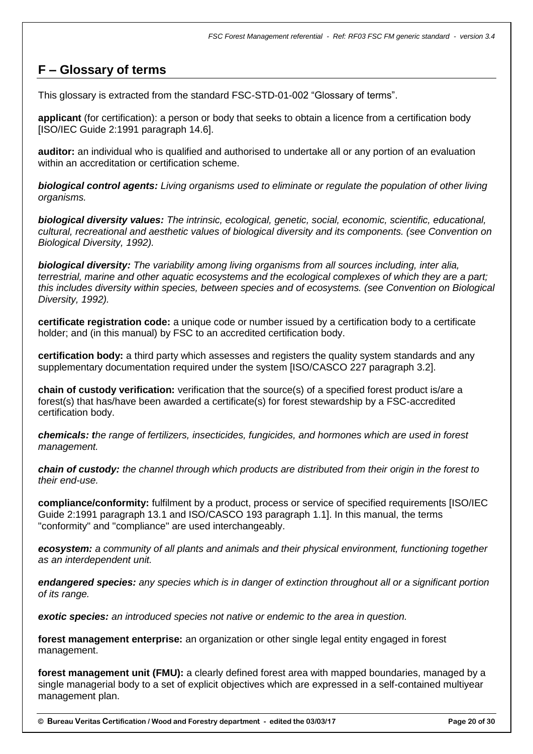## <span id="page-19-0"></span>**F – Glossary of terms**

This glossary is extracted from the standard FSC-STD-01-002 "Glossary of terms".

**applicant** (for certification): a person or body that seeks to obtain a licence from a certification body [ISO/IEC Guide 2:1991 paragraph 14.6].

**auditor:** an individual who is qualified and authorised to undertake all or any portion of an evaluation within an accreditation or certification scheme.

*biological control agents: Living organisms used to eliminate or regulate the population of other living organisms.*

*biological diversity values: The intrinsic, ecological, genetic, social, economic, scientific, educational, cultural, recreational and aesthetic values of biological diversity and its components. (see Convention on Biological Diversity, 1992).*

*biological diversity: The variability among living organisms from all sources including, inter alia, terrestrial, marine and other aquatic ecosystems and the ecological complexes of which they are a part; this includes diversity within species, between species and of ecosystems. (see Convention on Biological Diversity, 1992).*

**certificate registration code:** a unique code or number issued by a certification body to a certificate holder; and (in this manual) by FSC to an accredited certification body.

**certification body:** a third party which assesses and registers the quality system standards and any supplementary documentation required under the system [ISO/CASCO 227 paragraph 3.2].

**chain of custody verification:** verification that the source(s) of a specified forest product is/are a forest(s) that has/have been awarded a certificate(s) for forest stewardship by a FSC-accredited certification body.

*chemicals: the range of fertilizers, insecticides, fungicides, and hormones which are used in forest management.*

*chain of custody: the channel through which products are distributed from their origin in the forest to their end-use.*

**compliance/conformity:** fulfilment by a product, process or service of specified requirements [ISO/IEC Guide 2:1991 paragraph 13.1 and ISO/CASCO 193 paragraph 1.1]. In this manual, the terms "conformity" and "compliance" are used interchangeably.

*ecosystem: a community of all plants and animals and their physical environment, functioning together as an interdependent unit.*

*endangered species: any species which is in danger of extinction throughout all or a significant portion of its range.*

*exotic species: an introduced species not native or endemic to the area in question.*

**forest management enterprise:** an organization or other single legal entity engaged in forest management.

**forest management unit (FMU):** a clearly defined forest area with mapped boundaries, managed by a single managerial body to a set of explicit objectives which are expressed in a self-contained multiyear management plan.

**© Bureau Veritas Certification / Wood and Forestry department - edited the 03/03/17 Page 20 of 30**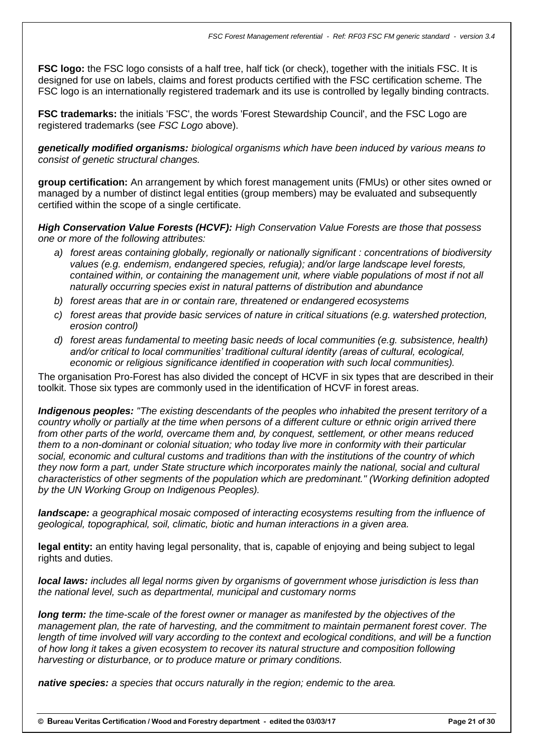**FSC logo:** the FSC logo consists of a half tree, half tick (or check), together with the initials FSC. It is designed for use on labels, claims and forest products certified with the FSC certification scheme. The FSC logo is an internationally registered trademark and its use is controlled by legally binding contracts.

**FSC trademarks:** the initials 'FSC', the words 'Forest Stewardship Council', and the FSC Logo are registered trademarks (see *FSC Logo* above).

*genetically modified organisms: biological organisms which have been induced by various means to consist of genetic structural changes.*

**group certification:** An arrangement by which forest management units (FMUs) or other sites owned or managed by a number of distinct legal entities (group members) may be evaluated and subsequently certified within the scope of a single certificate.

*High Conservation Value Forests (HCVF): High Conservation Value Forests are those that possess one or more of the following attributes:*

- *a) forest areas containing globally, regionally or nationally significant : concentrations of biodiversity values (e.g. endemism, endangered species, refugia); and/or large landscape level forests, contained within, or containing the management unit, where viable populations of most if not all naturally occurring species exist in natural patterns of distribution and abundance*
- *b) forest areas that are in or contain rare, threatened or endangered ecosystems*
- *c) forest areas that provide basic services of nature in critical situations (e.g. watershed protection, erosion control)*
- *d) forest areas fundamental to meeting basic needs of local communities (e.g. subsistence, health) and/or critical to local communities' traditional cultural identity (areas of cultural, ecological, economic or religious significance identified in cooperation with such local communities).*

The organisation Pro-Forest has also divided the concept of HCVF in six types that are described in their toolkit. Those six types are commonly used in the identification of HCVF in forest areas.

*Indigenous peoples: "The existing descendants of the peoples who inhabited the present territory of a country wholly or partially at the time when persons of a different culture or ethnic origin arrived there from other parts of the world, overcame them and, by conquest, settlement, or other means reduced them to a non-dominant or colonial situation; who today live more in conformity with their particular social, economic and cultural customs and traditions than with the institutions of the country of which they now form a part, under State structure which incorporates mainly the national, social and cultural characteristics of other segments of the population which are predominant." (Working definition adopted by the UN Working Group on Indigenous Peoples).*

*landscape: a geographical mosaic composed of interacting ecosystems resulting from the influence of geological, topographical, soil, climatic, biotic and human interactions in a given area.*

**legal entity:** an entity having legal personality, that is, capable of enjoying and being subject to legal rights and duties.

*local laws: includes all legal norms given by organisms of government whose jurisdiction is less than the national level, such as departmental, municipal and customary norms*

*long term: the time-scale of the forest owner or manager as manifested by the objectives of the management plan, the rate of harvesting, and the commitment to maintain permanent forest cover. The*  length of time involved will vary according to the context and ecological conditions, and will be a function *of how long it takes a given ecosystem to recover its natural structure and composition following harvesting or disturbance, or to produce mature or primary conditions.*

*native species: a species that occurs naturally in the region; endemic to the area.*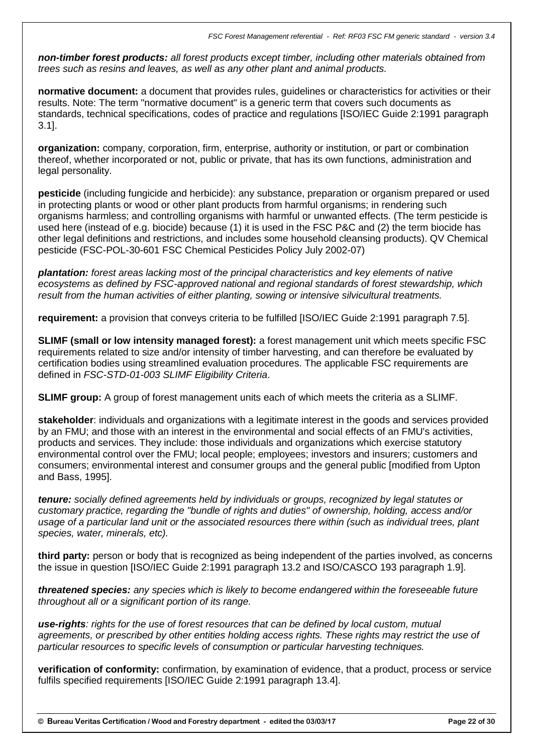*non-timber forest products: all forest products except timber, including other materials obtained from trees such as resins and leaves, as well as any other plant and animal products.*

**normative document:** a document that provides rules, guidelines or characteristics for activities or their results. Note: The term "normative document" is a generic term that covers such documents as standards, technical specifications, codes of practice and regulations [ISO/IEC Guide 2:1991 paragraph 3.1].

**organization:** company, corporation, firm, enterprise, authority or institution, or part or combination thereof, whether incorporated or not, public or private, that has its own functions, administration and legal personality.

**pesticide** (including fungicide and herbicide): any substance, preparation or organism prepared or used in protecting plants or wood or other plant products from harmful organisms; in rendering such organisms harmless; and controlling organisms with harmful or unwanted effects. (The term pesticide is used here (instead of e.g. biocide) because (1) it is used in the FSC P&C and (2) the term biocide has other legal definitions and restrictions, and includes some household cleansing products). QV Chemical pesticide (FSC-POL-30-601 FSC Chemical Pesticides Policy July 2002-07)

*plantation: forest areas lacking most of the principal characteristics and key elements of native ecosystems as defined by FSC-approved national and regional standards of forest stewardship, which result from the human activities of either planting, sowing or intensive silvicultural treatments.* 

**requirement:** a provision that conveys criteria to be fulfilled [ISO/IEC Guide 2:1991 paragraph 7.5].

**SLIMF (small or low intensity managed forest):** a forest management unit which meets specific FSC requirements related to size and/or intensity of timber harvesting, and can therefore be evaluated by certification bodies using streamlined evaluation procedures. The applicable FSC requirements are defined in *FSC-STD-01-003 SLIMF Eligibility Criteria*.

**SLIMF group:** A group of forest management units each of which meets the criteria as a SLIMF.

**stakeholder**: individuals and organizations with a legitimate interest in the goods and services provided by an FMU; and those with an interest in the environmental and social effects of an FMU's activities, products and services. They include: those individuals and organizations which exercise statutory environmental control over the FMU; local people; employees; investors and insurers; customers and consumers; environmental interest and consumer groups and the general public [modified from Upton and Bass, 1995].

*tenure: socially defined agreements held by individuals or groups, recognized by legal statutes or customary practice, regarding the "bundle of rights and duties" of ownership, holding, access and/or usage of a particular land unit or the associated resources there within (such as individual trees, plant species, water, minerals, etc).*

**third party:** person or body that is recognized as being independent of the parties involved, as concerns the issue in question [ISO/IEC Guide 2:1991 paragraph 13.2 and ISO/CASCO 193 paragraph 1.9].

*threatened species: any species which is likely to become endangered within the foreseeable future throughout all or a significant portion of its range.*

*use-rights: rights for the use of forest resources that can be defined by local custom, mutual agreements, or prescribed by other entities holding access rights. These rights may restrict the use of particular resources to specific levels of consumption or particular harvesting techniques.*

**verification of conformity:** confirmation, by examination of evidence, that a product, process or service fulfils specified requirements [ISO/IEC Guide 2:1991 paragraph 13.4].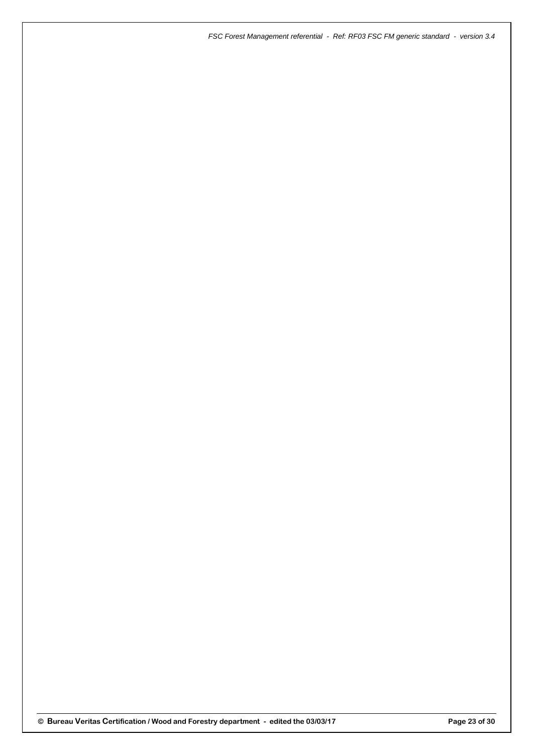*FSC Forest Management referential - Ref: RF03 FSC FM generic standard - version 3.4*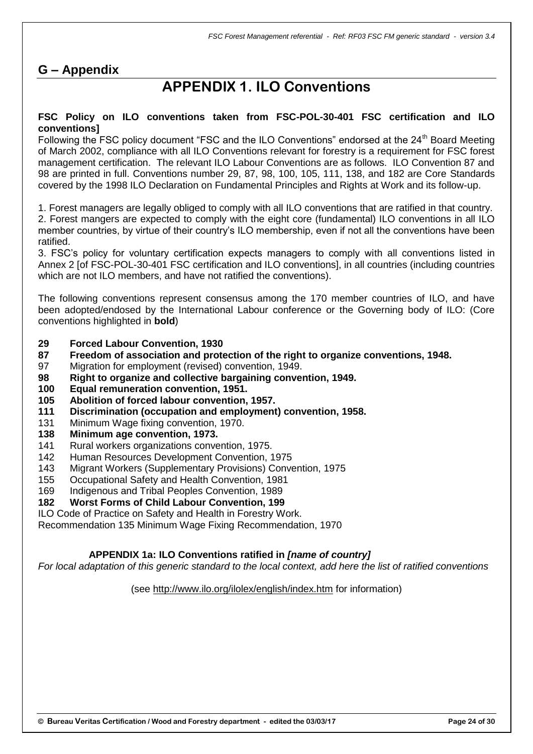## <span id="page-23-1"></span><span id="page-23-0"></span>**G – Appendix**

## **APPENDIX 1. ILO Conventions**

#### **FSC Policy on ILO conventions taken from FSC-POL-30-401 FSC certification and ILO conventions]**

Following the FSC policy document "FSC and the ILO Conventions" endorsed at the 24<sup>th</sup> Board Meeting of March 2002, compliance with all ILO Conventions relevant for forestry is a requirement for FSC forest management certification. The relevant ILO Labour Conventions are as follows. ILO Convention 87 and 98 are printed in full. Conventions number 29, 87, 98, 100, 105, 111, 138, and 182 are Core Standards covered by the 1998 ILO Declaration on Fundamental Principles and Rights at Work and its follow-up.

1. Forest managers are legally obliged to comply with all ILO conventions that are ratified in that country. 2. Forest mangers are expected to comply with the eight core (fundamental) ILO conventions in all ILO member countries, by virtue of their country's ILO membership, even if not all the conventions have been ratified.

3. FSC's policy for voluntary certification expects managers to comply with all conventions listed in Annex 2 [of FSC-POL-30-401 FSC certification and ILO conventions], in all countries (including countries which are not ILO members, and have not ratified the conventions).

The following conventions represent consensus among the 170 member countries of ILO, and have been adopted/endosed by the International Labour conference or the Governing body of ILO: (Core conventions highlighted in **bold**)

#### **29 Forced Labour Convention, 1930**

- **87 Freedom of association and protection of the right to organize conventions, 1948.**
- 97 Migration for employment (revised) convention, 1949.
- **98 Right to organize and collective bargaining convention, 1949.**
- **100 Equal remuneration convention, 1951.**
- **105 Abolition of forced labour convention, 1957.**
- **111 Discrimination (occupation and employment) convention, 1958.**
- 131 Minimum Wage fixing convention, 1970.
- **138 Minimum age convention, 1973.**
- 141 Rural workers organizations convention, 1975.
- 142 Human Resources Development Convention, 1975
- 143 Migrant Workers (Supplementary Provisions) Convention, 1975
- 155 Occupational Safety and Health Convention, 1981
- 169 Indigenous and Tribal Peoples Convention, 1989

#### **182 Worst Forms of Child Labour Convention, 199**

ILO Code of Practice on Safety and Health in Forestry Work.

Recommendation 135 Minimum Wage Fixing Recommendation, 1970

#### **APPENDIX 1a: ILO Conventions ratified in** *[name of country]*

<span id="page-23-2"></span>*For local adaptation of this generic standard to the local context, add here the list of ratified conventions*

(see<http://www.ilo.org/ilolex/english/index.htm> for information)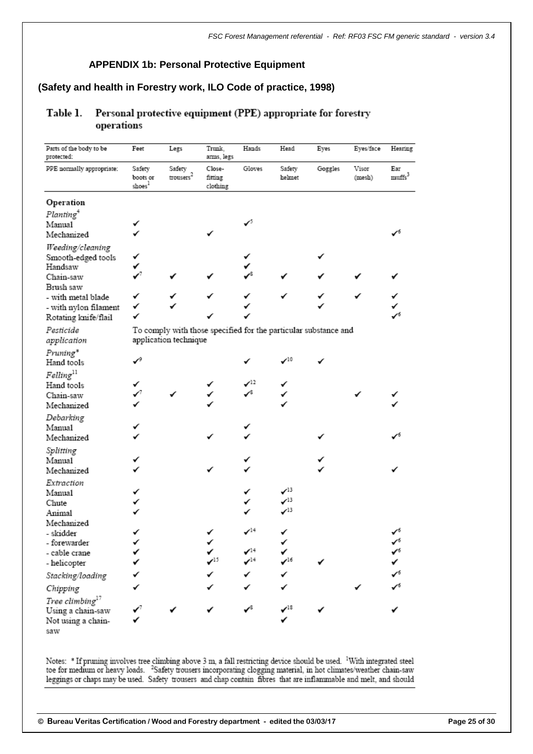#### **APPENDIX 1b: Personal Protective Equipment**

#### <span id="page-24-0"></span>**(Safety and health in Forestry work, ILO Code of practice, 1998)**

#### Personal protective equipment (PPE) appropriate for forestry Table 1. operations

| Parts of the body to be<br>protected: | Feet                                     | Legs                       | Trunk,<br>arms, legs          | Hands                          | Head                           | Eyes                                                            | Eyes/face       | Hearing                   |
|---------------------------------------|------------------------------------------|----------------------------|-------------------------------|--------------------------------|--------------------------------|-----------------------------------------------------------------|-----------------|---------------------------|
| PPE normally appropriate:             | Safety<br>boots or<br>shoes <sup>1</sup> | Safety<br>${\rm\,cross}^2$ | Close-<br>fitting<br>clothing | Gloves                         | Safety<br>helmet               | Goggles                                                         | Visor<br>(mesh) | Ear<br>muffs <sup>3</sup> |
| Operation                             |                                          |                            |                               |                                |                                |                                                                 |                 |                           |
| Planting <sup>4</sup>                 |                                          |                            |                               |                                |                                |                                                                 |                 |                           |
| Manual                                |                                          |                            |                               | ✓                              |                                |                                                                 |                 |                           |
| Mechanized                            |                                          |                            |                               |                                |                                |                                                                 |                 | νб                        |
| Weeding/cleaning                      |                                          |                            |                               |                                |                                |                                                                 |                 |                           |
| Smooth-edged tools                    |                                          |                            |                               |                                |                                |                                                                 |                 |                           |
| Handsaw                               |                                          |                            |                               |                                |                                |                                                                 |                 |                           |
| Chain-saw                             | ✓                                        |                            |                               |                                |                                |                                                                 |                 |                           |
| Brush saw                             |                                          |                            |                               |                                |                                |                                                                 |                 |                           |
| - with metal blade                    | ✓                                        |                            |                               |                                |                                |                                                                 |                 |                           |
| - with nylon filament                 | ✓<br>✓                                   |                            |                               |                                |                                |                                                                 |                 |                           |
| Rotating knife/flail                  |                                          |                            |                               |                                |                                |                                                                 |                 |                           |
| Pesticide                             |                                          |                            |                               |                                |                                | To comply with those specified for the particular substance and |                 |                           |
| application                           |                                          | application technique      |                               |                                |                                |                                                                 |                 |                           |
| Pruning*                              |                                          |                            |                               |                                | $\mathbf{v}^{10}$              |                                                                 |                 |                           |
| Hand tools                            | ✓                                        |                            |                               | ✓                              |                                |                                                                 |                 |                           |
| $Felling^{11}$                        |                                          |                            |                               |                                |                                |                                                                 |                 |                           |
| Hand tools                            |                                          |                            |                               | $\mathcal{I}^{12}$             |                                |                                                                 |                 |                           |
| Chain-saw                             | ╱                                        |                            |                               | ✓°                             |                                |                                                                 |                 |                           |
| Mechanized                            |                                          |                            |                               |                                |                                |                                                                 |                 |                           |
| Debarking                             |                                          |                            |                               |                                |                                |                                                                 |                 |                           |
| Manual                                | ✓                                        |                            |                               |                                |                                |                                                                 |                 |                           |
| Mechanized                            |                                          |                            |                               |                                |                                |                                                                 |                 | г6                        |
| Splitting                             |                                          |                            |                               |                                |                                |                                                                 |                 |                           |
| Manual                                |                                          |                            |                               |                                |                                |                                                                 |                 |                           |
| Mechanized                            |                                          |                            |                               |                                |                                |                                                                 |                 |                           |
| Extraction                            |                                          |                            |                               |                                |                                |                                                                 |                 |                           |
| Manual                                |                                          |                            |                               |                                | $\sqrt{13}$                    |                                                                 |                 |                           |
| Chute                                 |                                          |                            |                               |                                | $\boldsymbol{\checkmark}^{13}$ |                                                                 |                 |                           |
| Animal                                |                                          |                            |                               |                                | $\boldsymbol{\checkmark}^{13}$ |                                                                 |                 |                           |
| Mechanized                            |                                          |                            |                               |                                |                                |                                                                 |                 |                           |
| - skidder                             |                                          |                            |                               | $\boldsymbol{\checkmark}^{14}$ | ✓                              |                                                                 |                 | $\checkmark$              |
| - forewarder                          | ✓                                        |                            |                               |                                | ✓                              |                                                                 |                 | ✓                         |
| - cable crane                         |                                          |                            |                               | $\mathcal{V}^{14}$             |                                |                                                                 |                 | ✓                         |
| - helicopter                          |                                          |                            | 15                            | $\mathcal{L}^{14}$             | $-16$                          |                                                                 |                 |                           |
| Stacking/loading                      |                                          |                            |                               |                                |                                |                                                                 |                 |                           |
| Chipping                              |                                          |                            |                               |                                |                                |                                                                 |                 |                           |
| Tree climbing <sup>17</sup>           |                                          |                            |                               |                                |                                |                                                                 |                 |                           |
| Using a chain-saw                     |                                          |                            |                               |                                | $\mathbf{v}^{\text{ls}}$       |                                                                 |                 |                           |
| Not using a chain-                    |                                          |                            |                               |                                |                                |                                                                 |                 |                           |
| saw                                   |                                          |                            |                               |                                |                                |                                                                 |                 |                           |

Notes:  $*$  If pruning involves tree climbing above 3 m, a fall restricting device should be used. <sup>1</sup>With integrated steel toe for medium or heavy loads. <sup>2</sup>Safety trousers incorporating clogging material, in hot climates leggings or chaps may be used. Safety trousers and chap contain fibres that are inflammable and melt, and should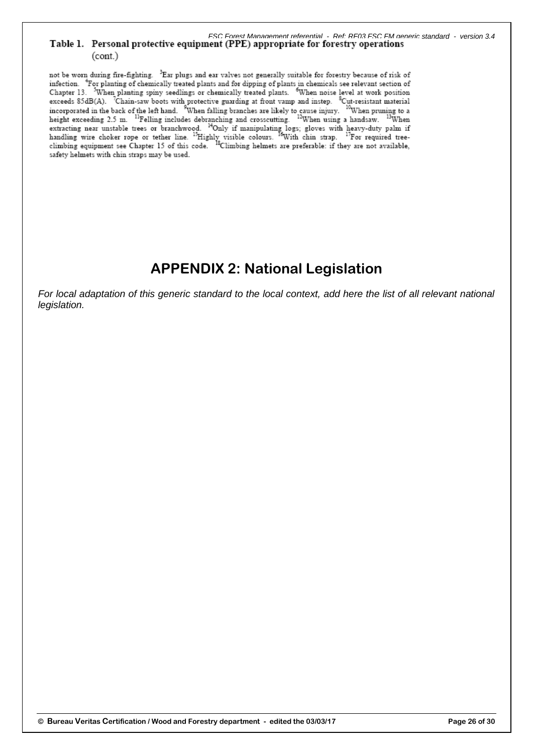## *FSC Forest Management referential - Ref: RF03 FSC FM generic standard - version 3.4*<br>**Table 1. Personal protective equipment (PPE) appropriate for forestry operations**  $(cont.)$

not be worn during fire-fighting. <sup>3</sup>Ear plugs and ear valves not generally suitable for forestry because of risk of infection. <sup>4</sup>For planting of chemically treated plants and for dipping of plants in chemicals see relevant section of Chapter 13. <sup>5</sup>When planting spiny seedlings or chemically treated plants. <sup>6</sup>When noise level at work Chapter 13. When planting spiny seedlings or chemically treated plants. When noise level at work position exceeds  $85dB(A)$ . <sup>7</sup>Chain-saw boots with protective guarding at front vamp and instep.  ${}^{8}$ Cut-resistant material safety helmets with chin straps may be used.

## **APPENDIX 2: National Legislation**

<span id="page-25-0"></span>*For local adaptation of this generic standard to the local context, add here the list of all relevant national legislation.*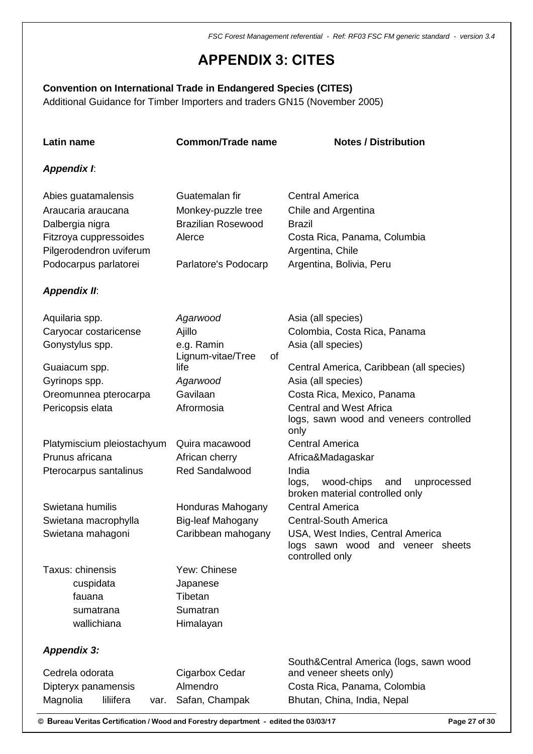*FSC Forest Management referential - Ref: RF03 FSC FM generic standard - version 3.4*

# **APPENDIX 3: CITES**

### <span id="page-26-0"></span>**Convention on International Trade in Endangered Species (CITES)**

Additional Guidance for Timber Importers and traders GN15 (November 2005)

| Latin name                                                                                                                                                                                                                               | <b>Common/Trade name</b>                                                                                                                                                                    | <b>Notes / Distribution</b>                                                                                                                                                                                                                                                                                                                                                                                                    |  |  |
|------------------------------------------------------------------------------------------------------------------------------------------------------------------------------------------------------------------------------------------|---------------------------------------------------------------------------------------------------------------------------------------------------------------------------------------------|--------------------------------------------------------------------------------------------------------------------------------------------------------------------------------------------------------------------------------------------------------------------------------------------------------------------------------------------------------------------------------------------------------------------------------|--|--|
| <b>Appendix I:</b>                                                                                                                                                                                                                       |                                                                                                                                                                                             |                                                                                                                                                                                                                                                                                                                                                                                                                                |  |  |
| Abies guatamalensis<br>Araucaria araucana<br>Dalbergia nigra<br>Fitzroya cuppressoides<br>Pilgerodendron uviferum<br>Podocarpus parlatorei                                                                                               | Guatemalan fir<br>Monkey-puzzle tree<br><b>Brazilian Rosewood</b><br>Alerce<br>Parlatore's Podocarp                                                                                         | <b>Central America</b><br>Chile and Argentina<br><b>Brazil</b><br>Costa Rica, Panama, Columbia<br>Argentina, Chile<br>Argentina, Bolivia, Peru                                                                                                                                                                                                                                                                                 |  |  |
| <b>Appendix II:</b>                                                                                                                                                                                                                      |                                                                                                                                                                                             |                                                                                                                                                                                                                                                                                                                                                                                                                                |  |  |
| Aquilaria spp.<br>Caryocar costaricense<br>Gonystylus spp.<br>Guaiacum spp.<br>Gyrinops spp.<br>Oreomunnea pterocarpa<br>Pericopsis elata<br>Platymiscium pleiostachyum<br>Prunus africana<br>Pterocarpus santalinus<br>Swietana humilis | Agarwood<br>Ajillo<br>e.g. Ramin<br>Lignum-vitae/Tree<br>of<br>life<br>Agarwood<br>Gavilaan<br>Afrormosia<br>Quira macawood<br>African cherry<br><b>Red Sandalwood</b><br>Honduras Mahogany | Asia (all species)<br>Colombia, Costa Rica, Panama<br>Asia (all species)<br>Central America, Caribbean (all species)<br>Asia (all species)<br>Costa Rica, Mexico, Panama<br><b>Central and West Africa</b><br>logs, sawn wood and veneers controlled<br>only<br><b>Central America</b><br>Africa&Madagaskar<br>India<br>wood-chips<br>logs,<br>and<br>unprocessed<br>broken material controlled only<br><b>Central America</b> |  |  |
| Swietana macrophylla<br>Swietana mahagoni                                                                                                                                                                                                | Big-leaf Mahogany<br>Caribbean mahogany                                                                                                                                                     | <b>Central-South America</b><br>USA, West Indies, Central America<br>logs sawn wood and veneer sheets<br>controlled only                                                                                                                                                                                                                                                                                                       |  |  |
| Taxus: chinensis<br>cuspidata<br>fauana<br>sumatrana<br>wallichiana                                                                                                                                                                      | Yew: Chinese<br>Japanese<br>Tibetan<br>Sumatran<br>Himalayan                                                                                                                                |                                                                                                                                                                                                                                                                                                                                                                                                                                |  |  |
| <b>Appendix 3:</b>                                                                                                                                                                                                                       |                                                                                                                                                                                             | South&Central America (logs, sawn wood                                                                                                                                                                                                                                                                                                                                                                                         |  |  |
| Cedrela odorata<br>Dipteryx panamensis<br>Magnolia<br>liliifera<br>var.                                                                                                                                                                  | Cigarbox Cedar<br>Almendro<br>Safan, Champak                                                                                                                                                | and veneer sheets only)<br>Costa Rica, Panama, Colombia<br>Bhutan, China, India, Nepal                                                                                                                                                                                                                                                                                                                                         |  |  |

**© Bureau Veritas Certification / Wood and Forestry department - edited the 03/03/17 Page 27 of 30**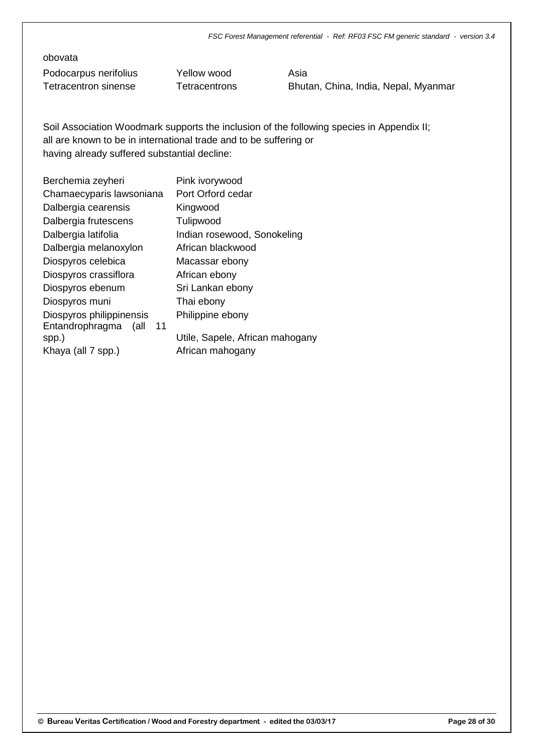#### obovata

Podocarpus nerifolius Yellow wood Asia

Tetracentron sinense Tetracentrons Bhutan, China, India, Nepal, Myanmar

Soil Association Woodmark supports the inclusion of the following species in Appendix II; all are known to be in international trade and to be suffering or having already suffered substantial decline:

| Berchemia zeyheri             | Pink ivorywood                  |  |  |
|-------------------------------|---------------------------------|--|--|
| Chamaecyparis lawsoniana      | Port Orford cedar               |  |  |
| Dalbergia cearensis           | Kingwood                        |  |  |
| Dalbergia frutescens          | Tulipwood                       |  |  |
| Dalbergia latifolia           | Indian rosewood, Sonokeling     |  |  |
| Dalbergia melanoxylon         | African blackwood               |  |  |
| Diospyros celebica            | Macassar ebony                  |  |  |
| Diospyros crassiflora         | African ebony                   |  |  |
| Diospyros ebenum              | Sri Lankan ebony                |  |  |
| Diospyros muni                | Thai ebony                      |  |  |
| Diospyros philippinensis      | Philippine ebony                |  |  |
| Entandrophragma<br>11<br>(all |                                 |  |  |
| spp.)                         | Utile, Sapele, African mahogany |  |  |
| Khaya (all 7 spp.)            | African mahogany                |  |  |
|                               |                                 |  |  |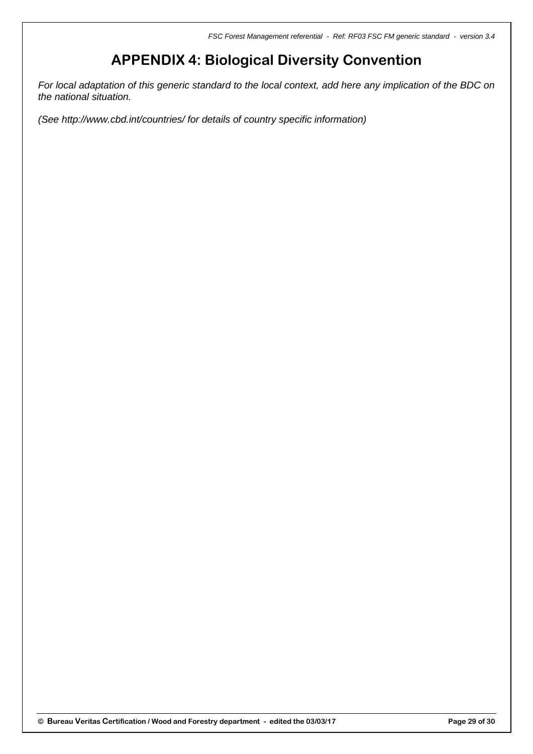# **APPENDIX 4: Biological Diversity Convention**

<span id="page-28-0"></span>*For local adaptation of this generic standard to the local context, add here any implication of the BDC on the national situation.*

*(See http://www.cbd.int/countries/ for details of country specific information)*